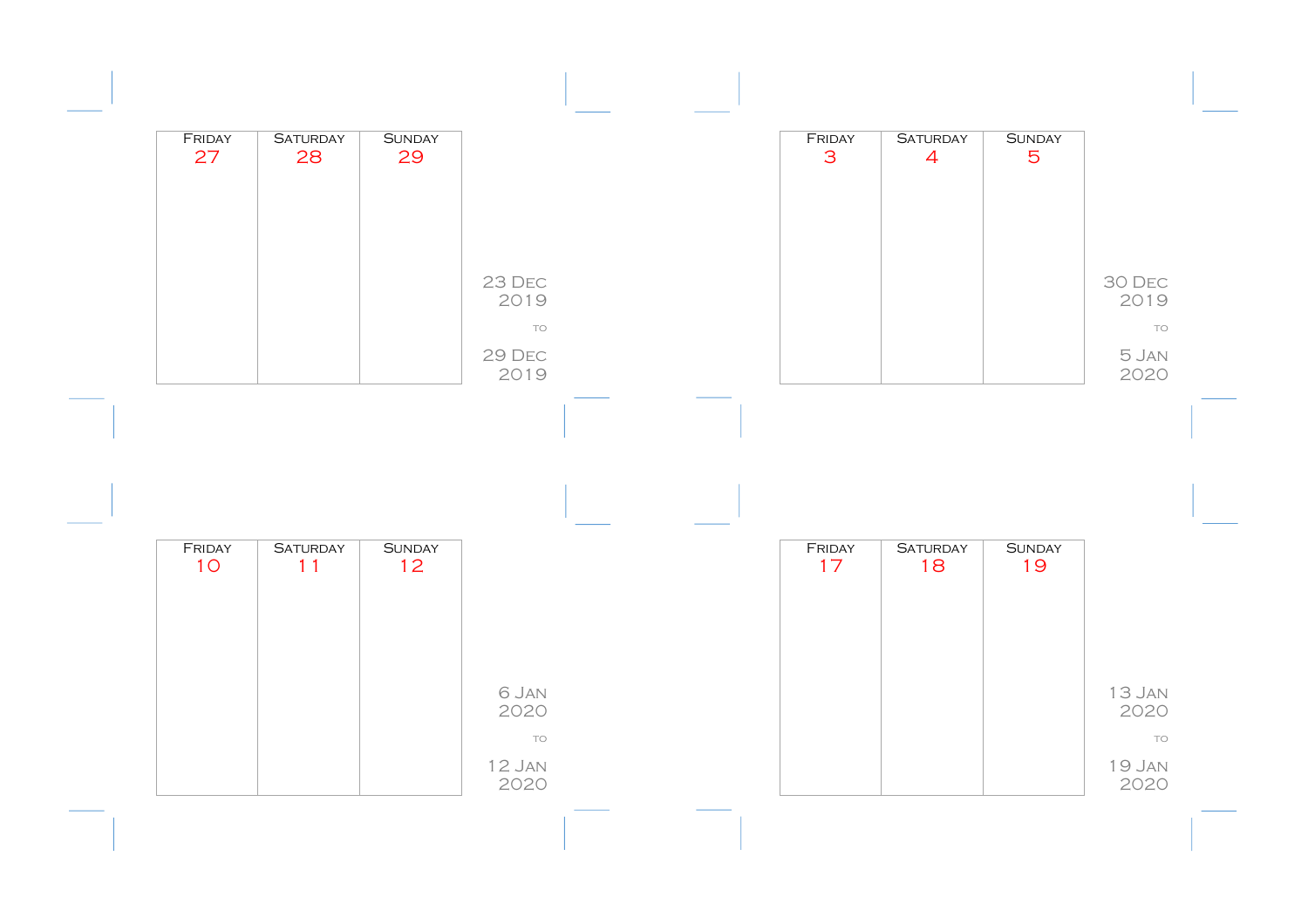| FRIDAY<br>27 | <b>SATURDAY</b><br>28 | <b>SUNDAY</b><br>29 |                   |  | FRIDAY<br>3 | <b>SATURDAY</b><br>$\overline{4}$ | <b>SUNDAY</b><br>5 |                      |
|--------------|-----------------------|---------------------|-------------------|--|-------------|-----------------------------------|--------------------|----------------------|
|              |                       |                     | 23 DEC            |  |             |                                   |                    | 30 DEC               |
|              |                       |                     | 2019<br>TO        |  |             |                                   |                    | 2019<br>TO           |
|              |                       |                     | 29 DEC<br>2019    |  |             |                                   |                    | 5 JAN<br>2020        |
|              |                       |                     |                   |  |             |                                   |                    |                      |
|              |                       |                     |                   |  |             |                                   |                    |                      |
|              |                       |                     |                   |  |             |                                   |                    |                      |
|              |                       |                     |                   |  |             |                                   |                    |                      |
| FRIDAY       | <b>SATURDAY</b>       | <b>SUNDAY</b>       |                   |  | FRIDAY      | <b>SATURDAY</b>                   | <b>SUNDAY</b>      |                      |
| 10           | 11                    | 12                  |                   |  | 17          | 18                                | 19                 |                      |
|              |                       |                     |                   |  |             |                                   |                    |                      |
|              |                       |                     | 6 JAN             |  |             |                                   |                    |                      |
|              |                       |                     | 2020<br><b>TO</b> |  |             |                                   |                    | 13 JAN<br>2020<br>TO |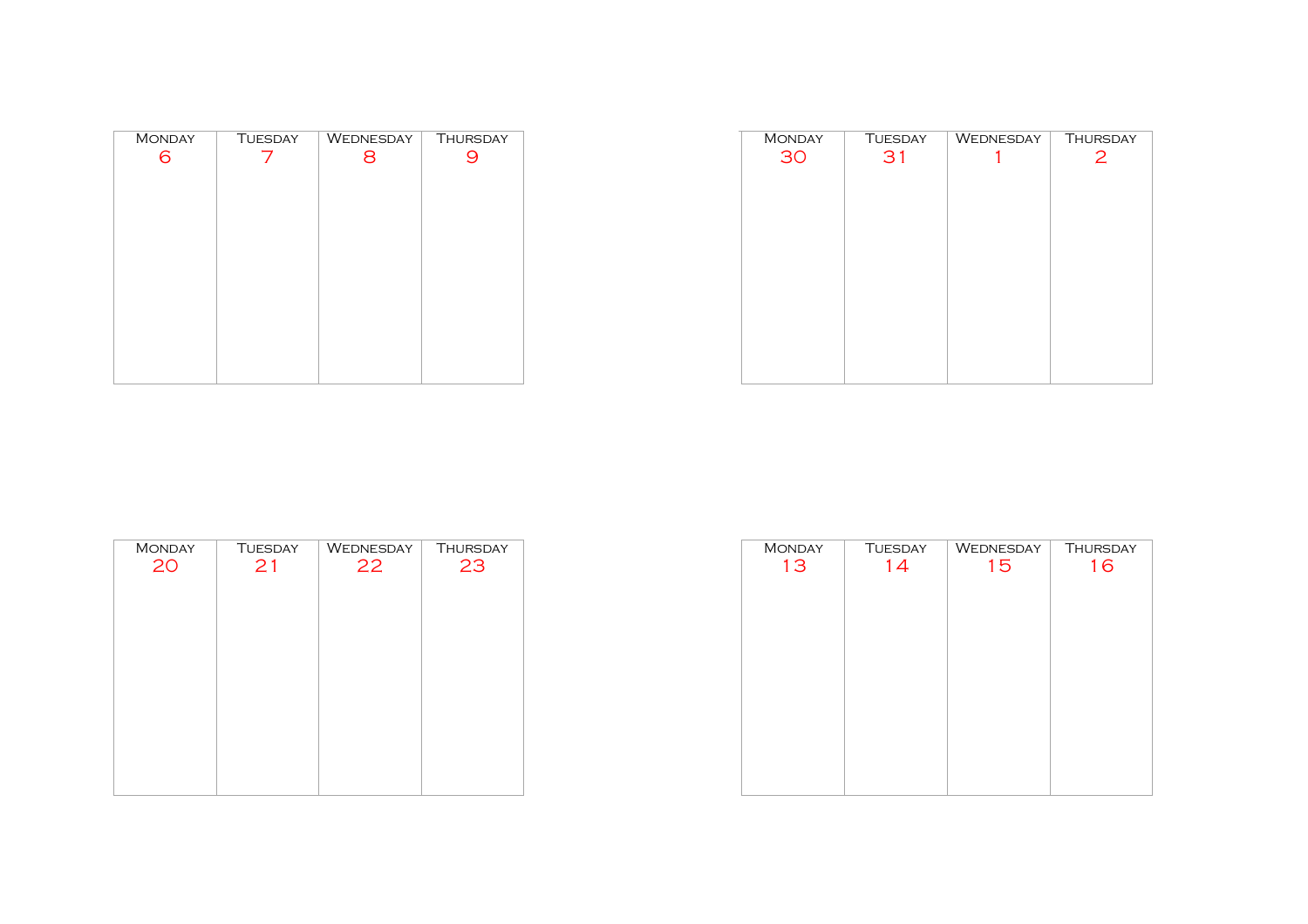| <b>MONDAY</b> | <b>TUESDAY</b> | WEDNESDAY | <b>THURSDAY</b> |
|---------------|----------------|-----------|-----------------|
| 6             |                | 8         |                 |
|               |                |           |                 |
|               |                |           |                 |
|               |                |           |                 |
|               |                |           |                 |
|               |                |           |                 |
|               |                |           |                 |
|               |                |           |                 |
|               |                |           |                 |
|               |                |           |                 |
|               |                |           |                 |
|               |                |           |                 |
|               |                |           |                 |

| <b>MONDAY</b> | <b>TUESDAY</b> | WEDNESDAY | <b>THURSDAY</b> |
|---------------|----------------|-----------|-----------------|
| 30            | 31             |           | 2               |
|               |                |           |                 |
|               |                |           |                 |
|               |                |           |                 |
|               |                |           |                 |
|               |                |           |                 |
|               |                |           |                 |
|               |                |           |                 |
|               |                |           |                 |
|               |                |           |                 |
|               |                |           |                 |
|               |                |           |                 |
|               |                |           |                 |
|               |                |           |                 |
|               |                |           |                 |

| <b>MONDAY</b> | <b>TUESDAY</b> | WEDNESDAY | <b>THURSDAY</b> |
|---------------|----------------|-----------|-----------------|
| 20            | 21             | 22        | 23              |
|               |                |           |                 |
|               |                |           |                 |
|               |                |           |                 |
|               |                |           |                 |
|               |                |           |                 |
|               |                |           |                 |
|               |                |           |                 |
|               |                |           |                 |

| <b>MONDAY</b> | <b>TUESDAY</b> | WEDNESDAY | <b>THURSDAY</b> |
|---------------|----------------|-----------|-----------------|
| 13            | 14             | 15        | 16              |
|               |                |           |                 |
|               |                |           |                 |
|               |                |           |                 |
|               |                |           |                 |
|               |                |           |                 |
|               |                |           |                 |
|               |                |           |                 |
|               |                |           |                 |
|               |                |           |                 |
|               |                |           |                 |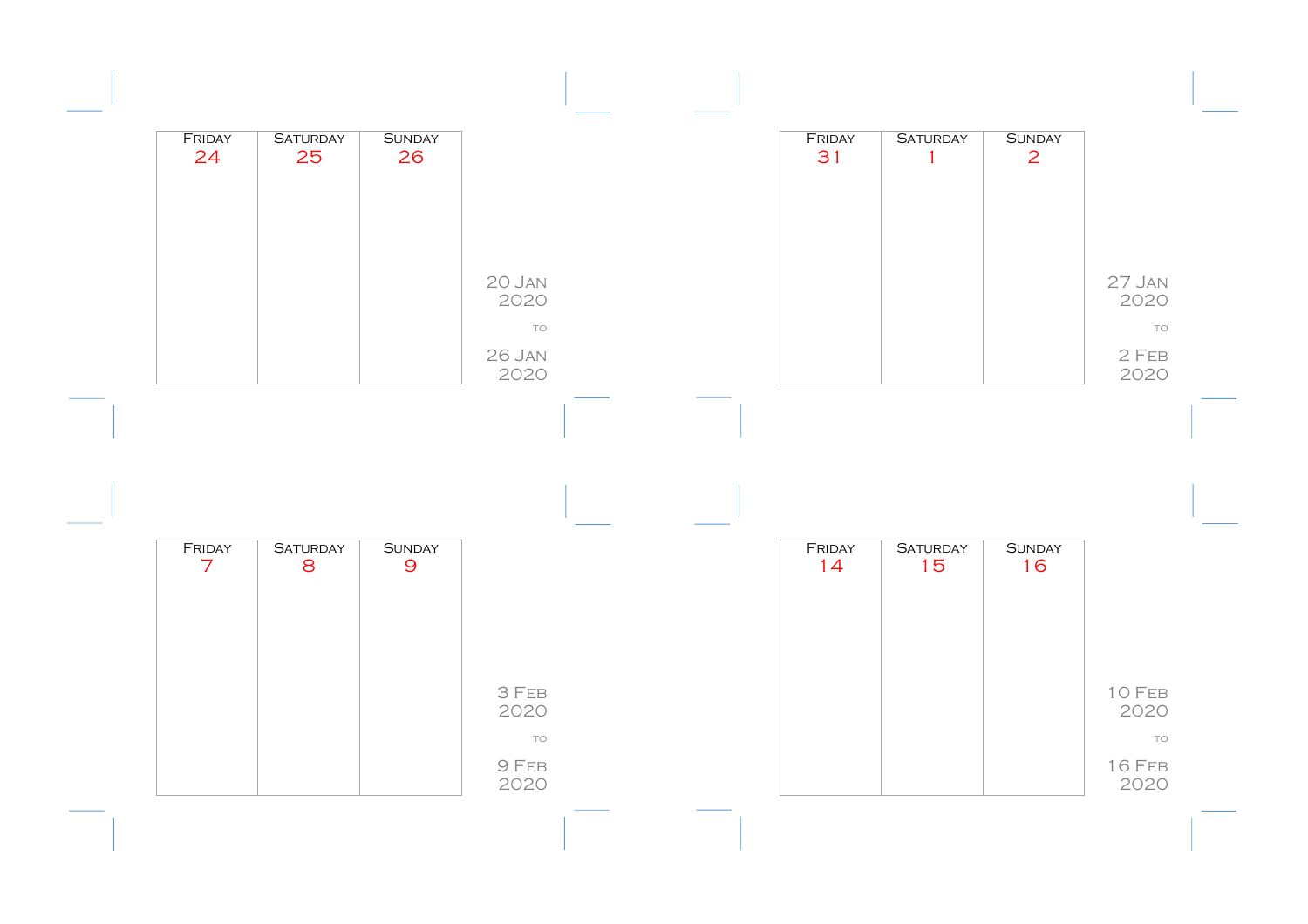| FRIDAY<br>24   | <b>SATURDAY</b><br>25 | <b>SUNDAY</b><br>26 |                     |  | FRIDAY<br>31 | <b>SATURDAY</b><br>$\mathbf{1}$ | <b>SUNDAY</b><br>$\overline{2}$ |                             |
|----------------|-----------------------|---------------------|---------------------|--|--------------|---------------------------------|---------------------------------|-----------------------------|
|                |                       |                     |                     |  |              |                                 |                                 |                             |
|                |                       |                     | 20 JAN<br>2020      |  |              |                                 |                                 | 27 JAN<br>2020              |
|                |                       |                     | TO                  |  |              |                                 |                                 | TO                          |
|                |                       |                     | 26 JAN<br>2020      |  |              |                                 |                                 | $2$ FEB<br>2020             |
|                |                       |                     |                     |  |              |                                 |                                 |                             |
|                |                       |                     |                     |  |              |                                 |                                 |                             |
|                |                       |                     |                     |  |              |                                 |                                 |                             |
| FRIDAY         | <b>SATURDAY</b>       | <b>SUNDAY</b>       |                     |  | FRIDAY       | <b>SATURDAY</b>                 | <b>SUNDAY</b>                   |                             |
| $\overline{7}$ | 8                     | $\overline{9}$      |                     |  | 14           | 15                              | 16                              |                             |
|                |                       |                     |                     |  |              |                                 |                                 |                             |
|                |                       |                     | 3 FEB<br>2020       |  |              |                                 |                                 | 10 FEB<br>2020              |
|                |                       |                     | TO<br>9 FEB<br>2020 |  |              |                                 |                                 | TO<br><b>16 FEB</b><br>2020 |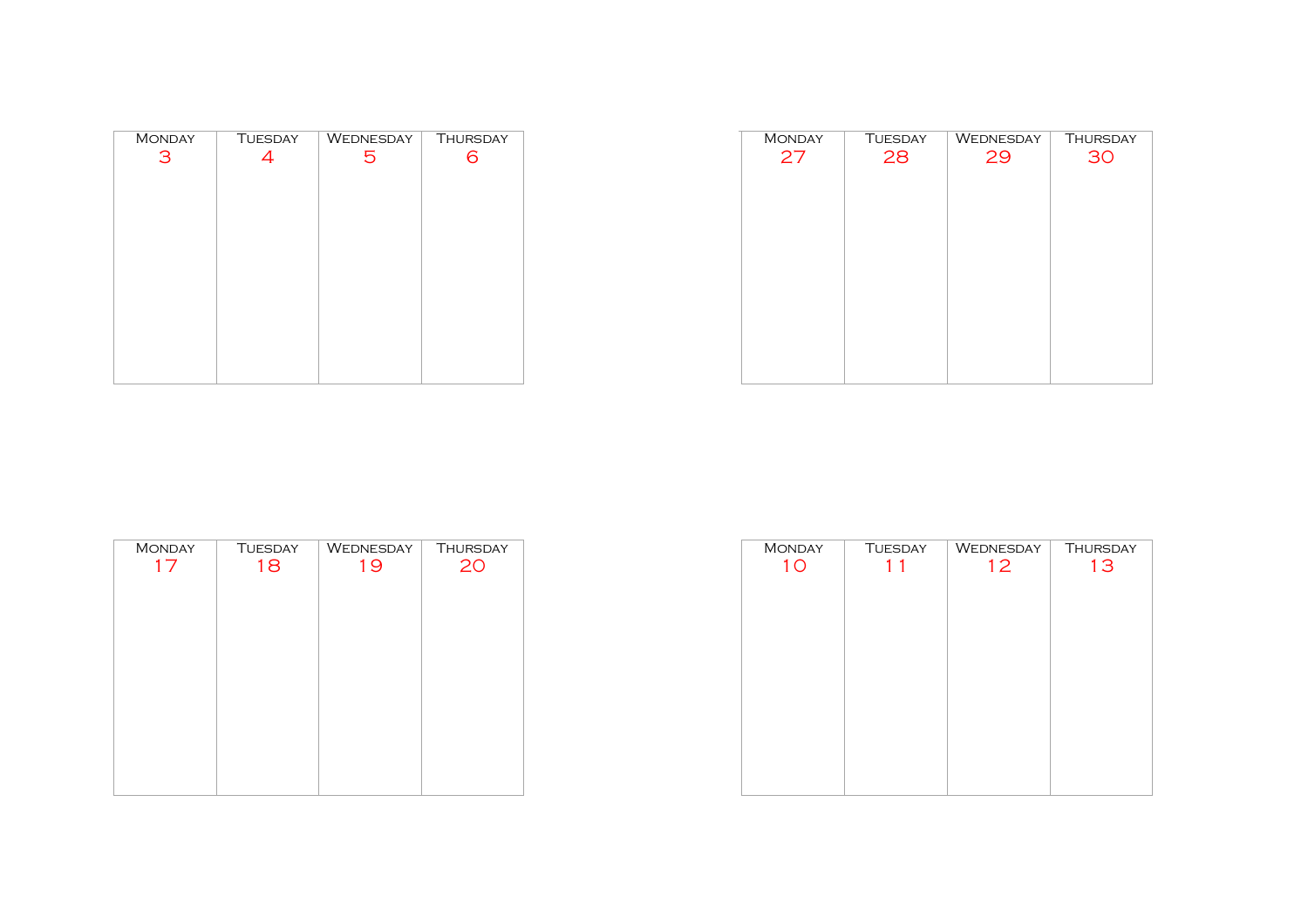| <b>MONDAY</b> | <b>TUESDAY</b> | WEDNESDAY | <b>THURSDAY</b> |
|---------------|----------------|-----------|-----------------|
| З             | 4              | 5         | 6               |
|               |                |           |                 |
|               |                |           |                 |
|               |                |           |                 |
|               |                |           |                 |
|               |                |           |                 |
|               |                |           |                 |
|               |                |           |                 |
|               |                |           |                 |
|               |                |           |                 |
|               |                |           |                 |
|               |                |           |                 |
|               |                |           |                 |
|               |                |           |                 |

| <b>MONDAY</b> | <b>TUESDAY</b> | WEDNESDAY | <b>THURSDAY</b> |
|---------------|----------------|-----------|-----------------|
| 27            | 28             | 29        | 30              |
|               |                |           |                 |
|               |                |           |                 |
|               |                |           |                 |
|               |                |           |                 |
|               |                |           |                 |
|               |                |           |                 |
|               |                |           |                 |
|               |                |           |                 |
|               |                |           |                 |
|               |                |           |                 |
|               |                |           |                 |
|               |                |           |                 |
|               |                |           |                 |

| <b>MONDAY</b><br>17 | <b>TUESDAY</b><br>18 | WEDNESDAY<br>19 | THURSDAY<br>20 |
|---------------------|----------------------|-----------------|----------------|
|                     |                      |                 |                |
|                     |                      |                 |                |
|                     |                      |                 |                |
|                     |                      |                 |                |
|                     |                      |                 |                |
|                     |                      |                 |                |

| <b>MONDAY</b>  | <b>TUESDAY</b> | WEDNESDAY | <b>THURSDAY</b> |
|----------------|----------------|-----------|-----------------|
| 1 <sub>O</sub> | $\mathbf{1}$   | 12        | 13              |
|                |                |           |                 |
|                |                |           |                 |
|                |                |           |                 |
|                |                |           |                 |
|                |                |           |                 |
|                |                |           |                 |
|                |                |           |                 |
|                |                |           |                 |
|                |                |           |                 |
|                |                |           |                 |
|                |                |           |                 |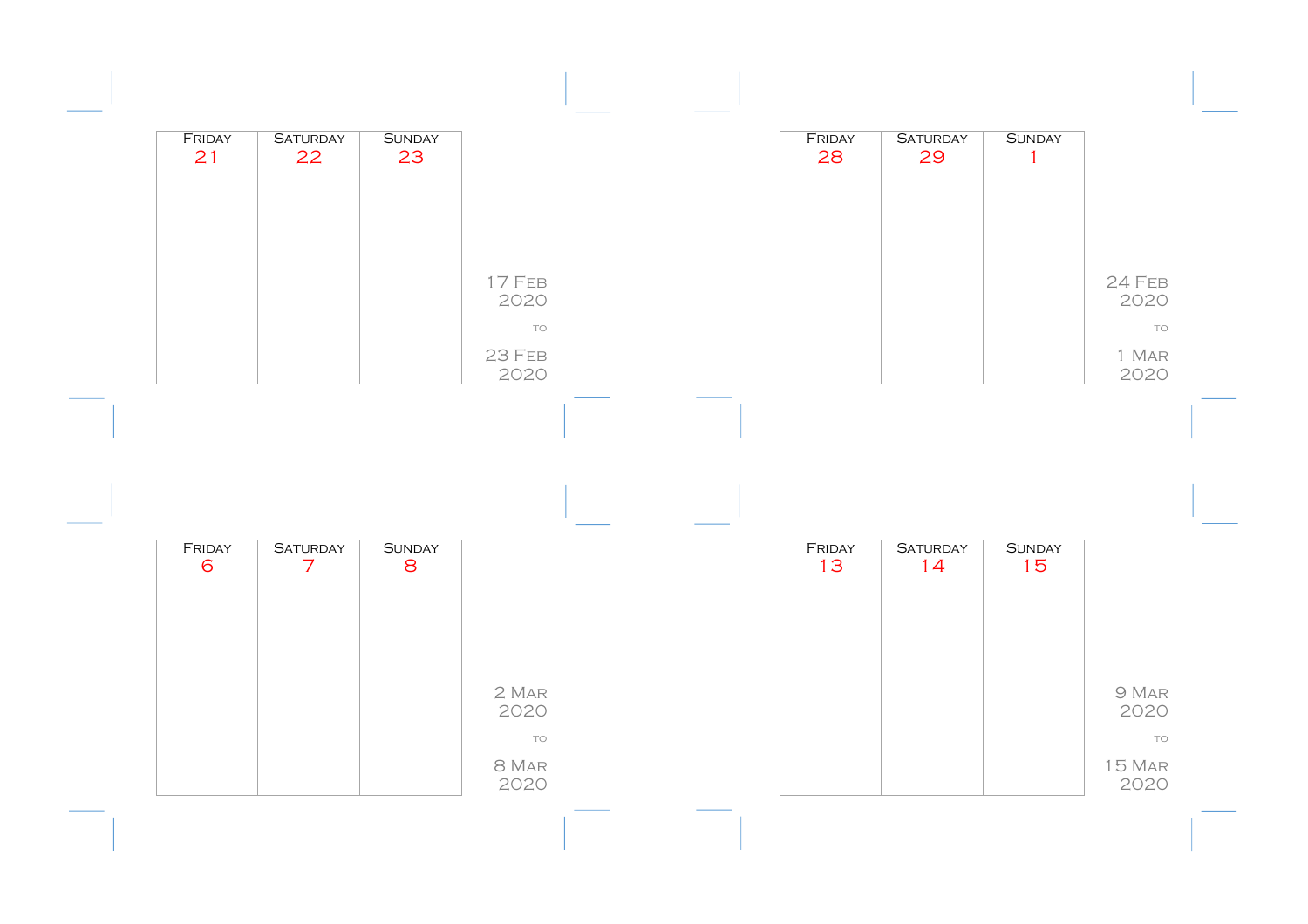| FRIDAY<br>21 | <b>SATURDAY</b><br>22             | <b>SUNDAY</b><br>23 |                      |  | FRIDAY<br>28 | <b>SATURDAY</b><br>29 | <b>SUNDAY</b><br>$\mathbf{1}$ |                     |
|--------------|-----------------------------------|---------------------|----------------------|--|--------------|-----------------------|-------------------------------|---------------------|
|              |                                   |                     | 17 FEB<br>2020       |  |              |                       |                               | 24 FEB<br>2020      |
|              |                                   |                     | TO<br>23 FEB<br>2020 |  |              |                       |                               | TO<br>1 MAR<br>2020 |
|              |                                   |                     |                      |  |              |                       |                               |                     |
|              |                                   |                     |                      |  |              |                       |                               |                     |
|              |                                   |                     |                      |  |              |                       |                               |                     |
| FRIDAY<br>6  | <b>SATURDAY</b><br>$\overline{7}$ | <b>SUNDAY</b><br>8  |                      |  | FRIDAY<br>13 | <b>SATURDAY</b><br>14 | <b>SUNDAY</b><br>15           |                     |
|              |                                   |                     |                      |  |              |                       |                               |                     |
|              |                                   |                     | 2 MAR<br>2020        |  |              |                       |                               | 9 MAR<br>2020       |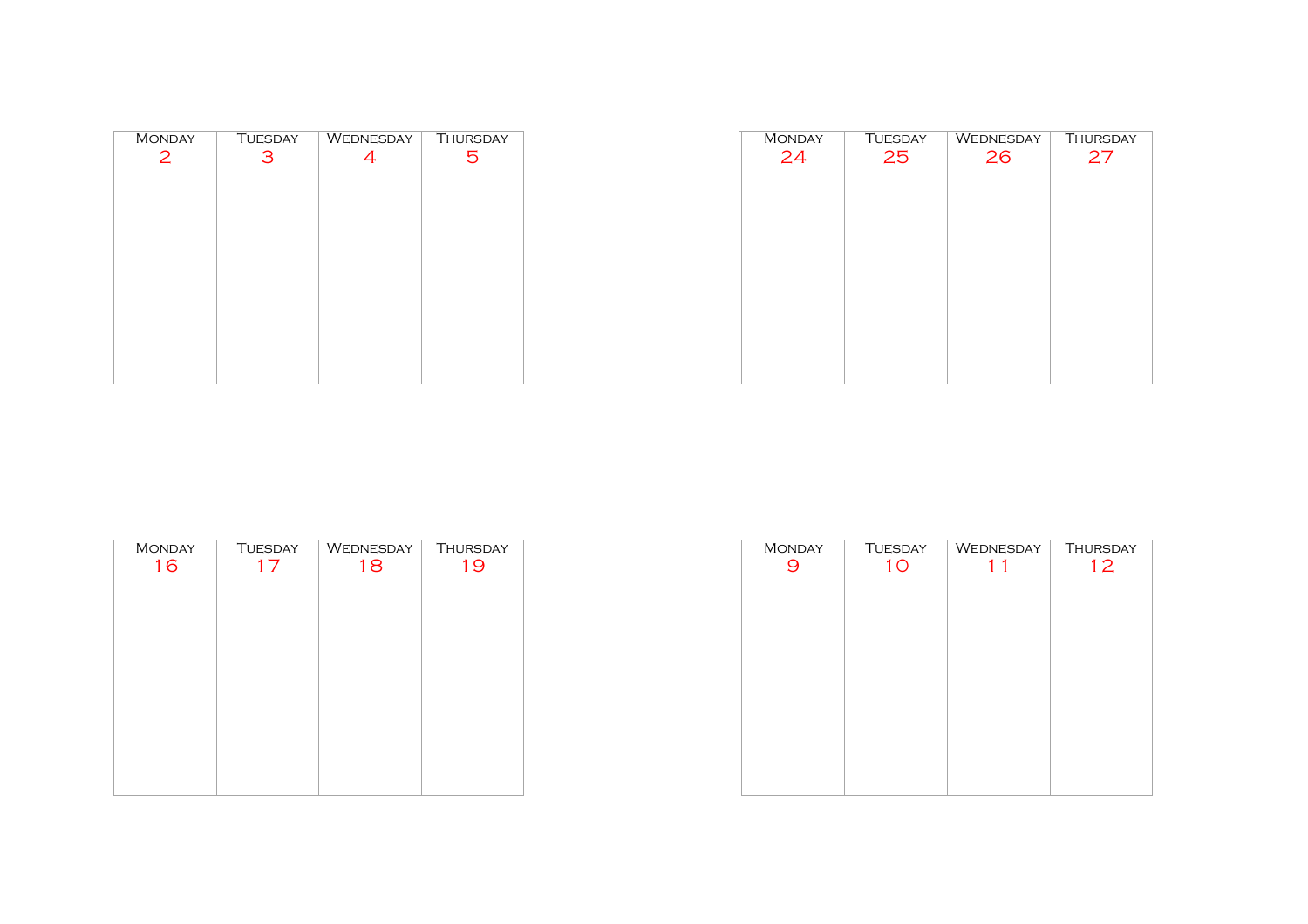| <b>MONDAY</b> | <b>TUESDAY</b> | WEDNESDAY | <b>THURSDAY</b> |
|---------------|----------------|-----------|-----------------|
| $\mathbf{2}$  | 3              | 4         | 5               |
|               |                |           |                 |
|               |                |           |                 |
|               |                |           |                 |
|               |                |           |                 |
|               |                |           |                 |
|               |                |           |                 |
|               |                |           |                 |
|               |                |           |                 |
|               |                |           |                 |
|               |                |           |                 |
|               |                |           |                 |
|               |                |           |                 |
|               |                |           |                 |

| <b>MONDAY</b> | <b>TUESDAY</b> | WEDNESDAY | <b>THURSDAY</b> |
|---------------|----------------|-----------|-----------------|
| 24            | 25             | 26        | 27              |
|               |                |           |                 |
|               |                |           |                 |
|               |                |           |                 |
|               |                |           |                 |
|               |                |           |                 |
|               |                |           |                 |
|               |                |           |                 |
|               |                |           |                 |
|               |                |           |                 |
|               |                |           |                 |
|               |                |           |                 |
|               |                |           |                 |
|               |                |           |                 |

| <b>MONDAY</b> | <b>TUESDAY</b> | WEDNESDAY | <b>THURSDAY</b> |
|---------------|----------------|-----------|-----------------|
| 16            | 17             | 18        | 19              |
|               |                |           |                 |
|               |                |           |                 |
|               |                |           |                 |
|               |                |           |                 |
|               |                |           |                 |
|               |                |           |                 |
|               |                |           |                 |
|               |                |           |                 |
|               |                |           |                 |
|               |                |           |                 |

| <b>MONDAY</b> | <b>TUESDAY</b> | WEDNESDAY | <b>THURSDAY</b> |
|---------------|----------------|-----------|-----------------|
| 9             | 1 <sub>O</sub> | 11        | 12              |
|               |                |           |                 |
|               |                |           |                 |
|               |                |           |                 |
|               |                |           |                 |
|               |                |           |                 |
|               |                |           |                 |
|               |                |           |                 |
|               |                |           |                 |
|               |                |           |                 |
|               |                |           |                 |
|               |                |           |                 |
|               |                |           |                 |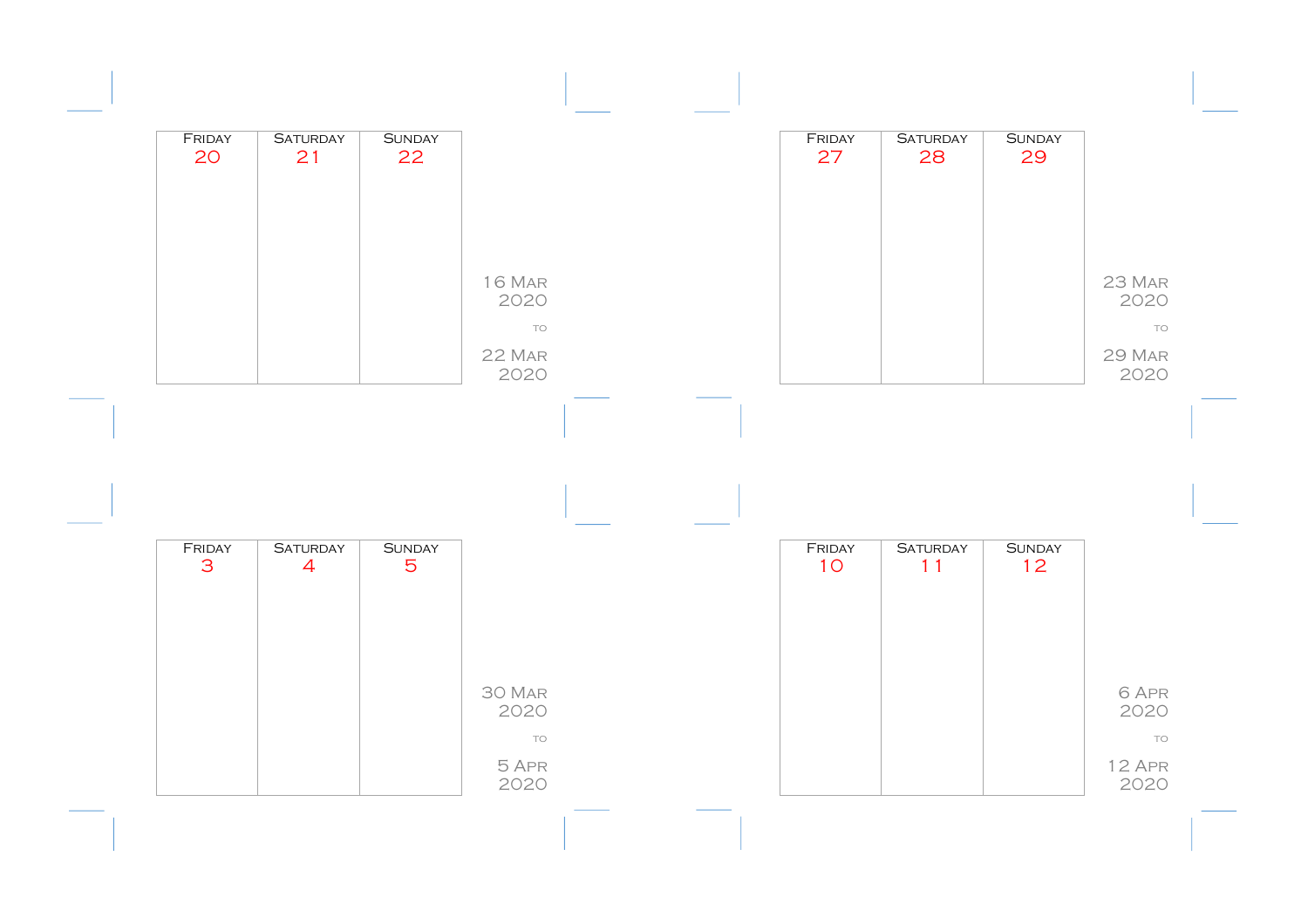| FRIDAY<br>20 | <b>SATURDAY</b><br>21             | <b>SUNDAY</b><br>22             |                       |  | FRIDAY<br>27 | <b>SATURDAY</b><br>28 | <b>SUNDAY</b><br>29 |                      |
|--------------|-----------------------------------|---------------------------------|-----------------------|--|--------------|-----------------------|---------------------|----------------------|
|              |                                   |                                 | <b>16 Mar</b><br>2020 |  |              |                       |                     | 23 MAR<br>2020       |
|              |                                   |                                 | TO<br>22 MAR<br>2020  |  |              |                       |                     | TO<br>29 MAR<br>2020 |
|              |                                   |                                 |                       |  |              |                       |                     |                      |
|              |                                   |                                 |                       |  |              |                       |                     |                      |
| FRIDAY<br>3  | <b>SATURDAY</b><br>$\overline{4}$ | <b>SUNDAY</b><br>$\overline{5}$ |                       |  | FRIDAY<br>10 | <b>SATURDAY</b><br>11 | <b>SUNDAY</b><br>12 |                      |
|              |                                   |                                 |                       |  |              |                       |                     |                      |
|              |                                   |                                 | 30 MAR<br>2020        |  |              |                       |                     | 6 APR<br>2020        |
|              |                                   |                                 | TO                    |  |              |                       |                     | TO                   |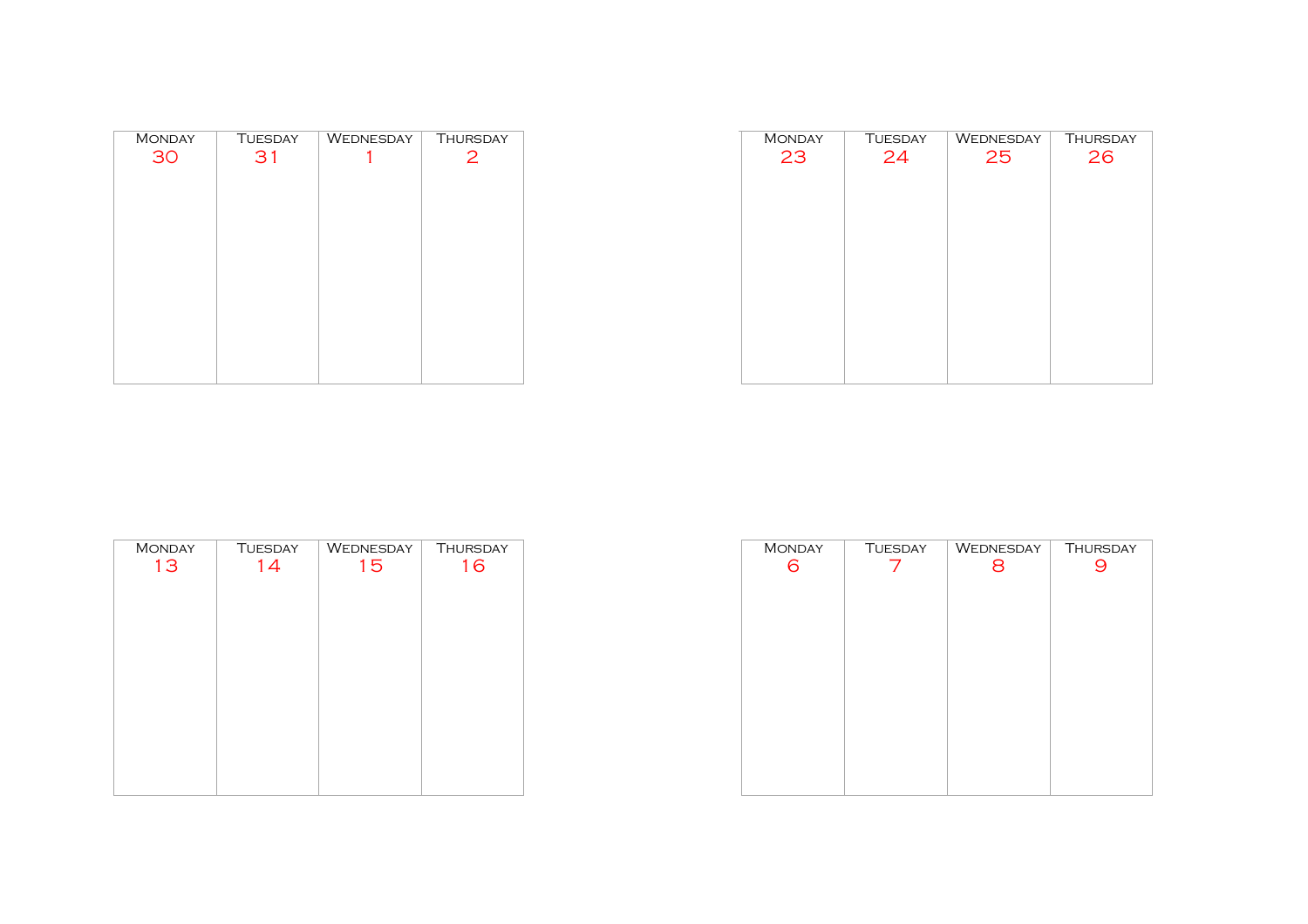| <b>MONDAY</b> | <b>TUESDAY</b> | WEDNESDAY | <b>THURSDAY</b> |
|---------------|----------------|-----------|-----------------|
| 30            | 31             |           | 2               |
|               |                |           |                 |
|               |                |           |                 |
|               |                |           |                 |
|               |                |           |                 |
|               |                |           |                 |
|               |                |           |                 |
|               |                |           |                 |
|               |                |           |                 |
|               |                |           |                 |
|               |                |           |                 |
|               |                |           |                 |
|               |                |           |                 |

| <b>MONDAY</b> | <b>TUESDAY</b> | WEDNESDAY | <b>THURSDAY</b> |
|---------------|----------------|-----------|-----------------|
| 23            | 24             | 25        | 26              |
|               |                |           |                 |
|               |                |           |                 |
|               |                |           |                 |
|               |                |           |                 |
|               |                |           |                 |
|               |                |           |                 |
|               |                |           |                 |
|               |                |           |                 |
|               |                |           |                 |
|               |                |           |                 |
|               |                |           |                 |
|               |                |           |                 |
|               |                |           |                 |
|               |                |           |                 |

| <b>MONDAY</b> | <b>TUESDAY</b> | WEDNESDAY | <b>THURSDAY</b> |
|---------------|----------------|-----------|-----------------|
| 13            | 14             | 15        | 16              |
|               |                |           |                 |
|               |                |           |                 |
|               |                |           |                 |
|               |                |           |                 |
|               |                |           |                 |
|               |                |           |                 |
|               |                |           |                 |
|               |                |           |                 |
|               |                |           |                 |

| <b>MONDAY</b> | <b>TUESDAY</b> | WEDNESDAY | <b>THURSDAY</b> |
|---------------|----------------|-----------|-----------------|
| 6             |                | 8         |                 |
|               |                |           |                 |
|               |                |           |                 |
|               |                |           |                 |
|               |                |           |                 |
|               |                |           |                 |
|               |                |           |                 |
|               |                |           |                 |
|               |                |           |                 |
|               |                |           |                 |
|               |                |           |                 |
|               |                |           |                 |
|               |                |           |                 |
|               |                |           |                 |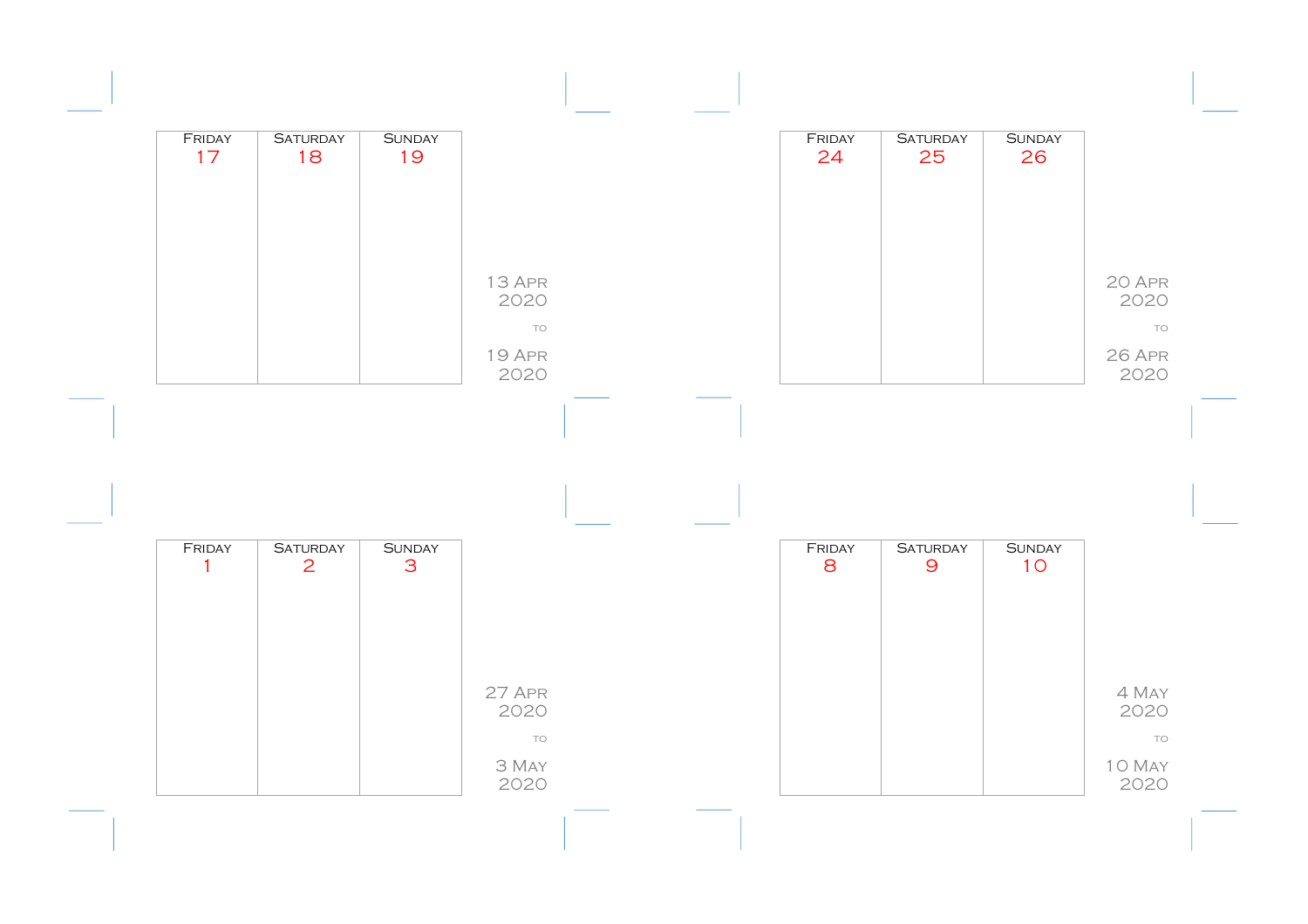| FRIDAY<br>17           | <b>SATURDAY</b><br>18 | <b>SUNDAY</b><br>19 |                             |  | FRIDAY<br>24 | <b>SATURDAY</b><br>25 | <b>SUNDAY</b><br>26 |                      |
|------------------------|-----------------------|---------------------|-----------------------------|--|--------------|-----------------------|---------------------|----------------------|
|                        |                       |                     | 13 APR<br>2020              |  |              |                       |                     | 20 APR<br>2020       |
|                        |                       |                     | TO<br><b>19 APR</b><br>2020 |  |              |                       |                     | TO<br>26 APR<br>2020 |
|                        |                       |                     |                             |  |              |                       |                     |                      |
|                        |                       |                     |                             |  |              |                       |                     |                      |
| FRIDAY<br>$\mathbf{1}$ | <b>SATURDAY</b><br>2  | <b>SUNDAY</b><br>3  |                             |  | FRIDAY<br>8  | <b>SATURDAY</b><br>9  | <b>SUNDAY</b><br>10 |                      |
|                        |                       |                     |                             |  |              |                       |                     |                      |
|                        |                       |                     | 27 APR<br>2020<br>TO        |  |              |                       |                     | 4 May<br>2020<br>TO  |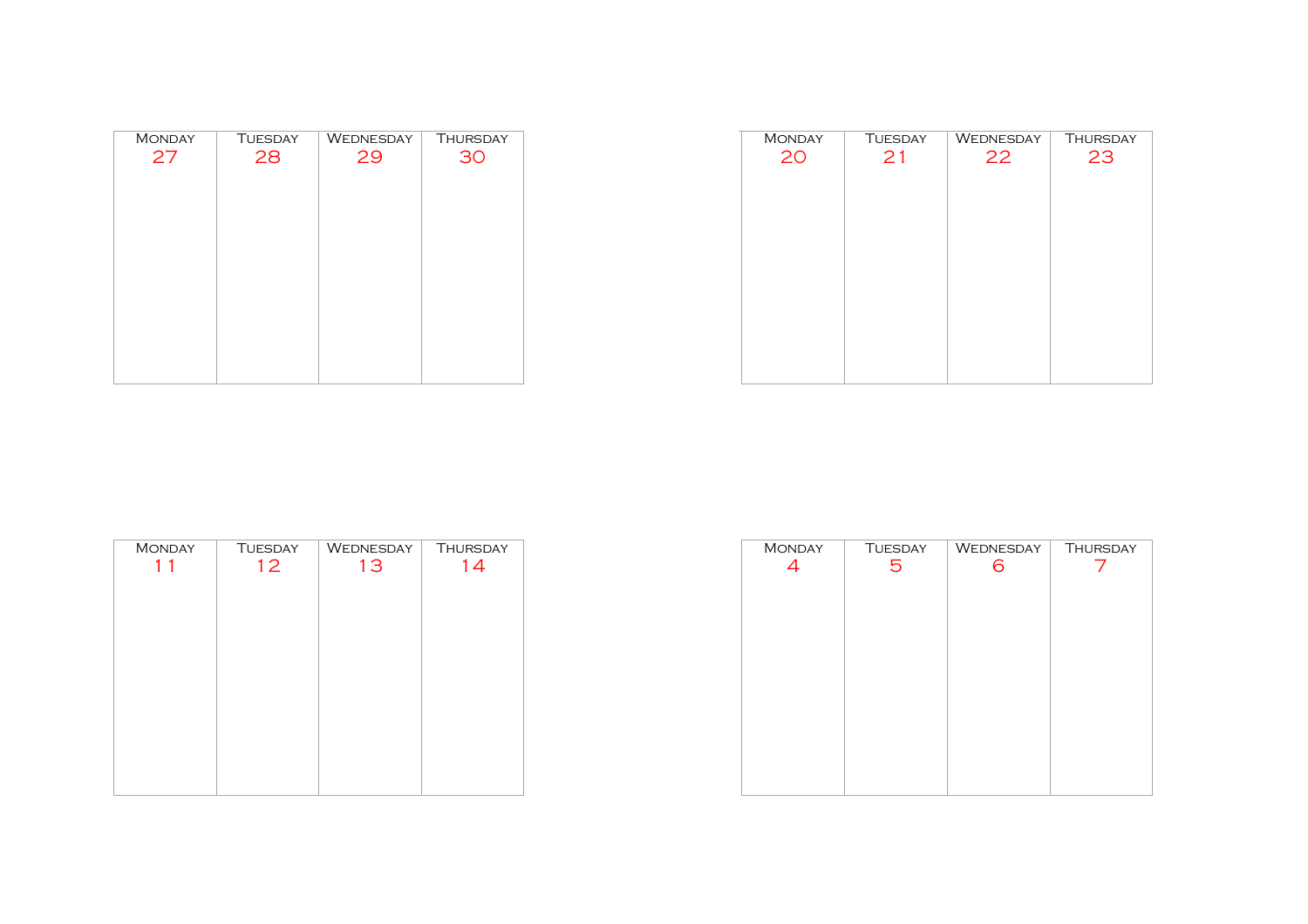| <b>MONDAY</b> | <b>TUESDAY</b> | <b>WEDNESDAY</b> | <b>THURSDAY</b> |
|---------------|----------------|------------------|-----------------|
| 27            | 28             | 29               | 30              |
|               |                |                  |                 |
|               |                |                  |                 |
|               |                |                  |                 |
|               |                |                  |                 |
|               |                |                  |                 |
|               |                |                  |                 |
|               |                |                  |                 |
|               |                |                  |                 |
|               |                |                  |                 |
|               |                |                  |                 |
|               |                |                  |                 |

| <b>MONDAY</b> | <b>TUESDAY</b> | WEDNESDAY | <b>THURSDAY</b> |
|---------------|----------------|-----------|-----------------|
| 20            | 21             | 22        | 23              |
|               |                |           |                 |
|               |                |           |                 |
|               |                |           |                 |
|               |                |           |                 |
|               |                |           |                 |
|               |                |           |                 |
|               |                |           |                 |
|               |                |           |                 |
|               |                |           |                 |
|               |                |           |                 |
|               |                |           |                 |
|               |                |           |                 |
|               |                |           |                 |

| <b>MONDAY</b> | <b>TUESDAY</b> | WEDNESDAY | THURSDAY |
|---------------|----------------|-----------|----------|
| 11            | 12             | 13        | 14       |
|               |                |           |          |
|               |                |           |          |
|               |                |           |          |
|               |                |           |          |
|               |                |           |          |
|               |                |           |          |
|               |                |           |          |
|               |                |           |          |
|               |                |           |          |
|               |                |           |          |

| <b>MONDAY</b> | <b>TUESDAY</b> | WEDNESDAY | <b>THURSDAY</b> |
|---------------|----------------|-----------|-----------------|
| 4             | 5              | 6         |                 |
|               |                |           |                 |
|               |                |           |                 |
|               |                |           |                 |
|               |                |           |                 |
|               |                |           |                 |
|               |                |           |                 |
|               |                |           |                 |
|               |                |           |                 |
|               |                |           |                 |
|               |                |           |                 |
|               |                |           |                 |
|               |                |           |                 |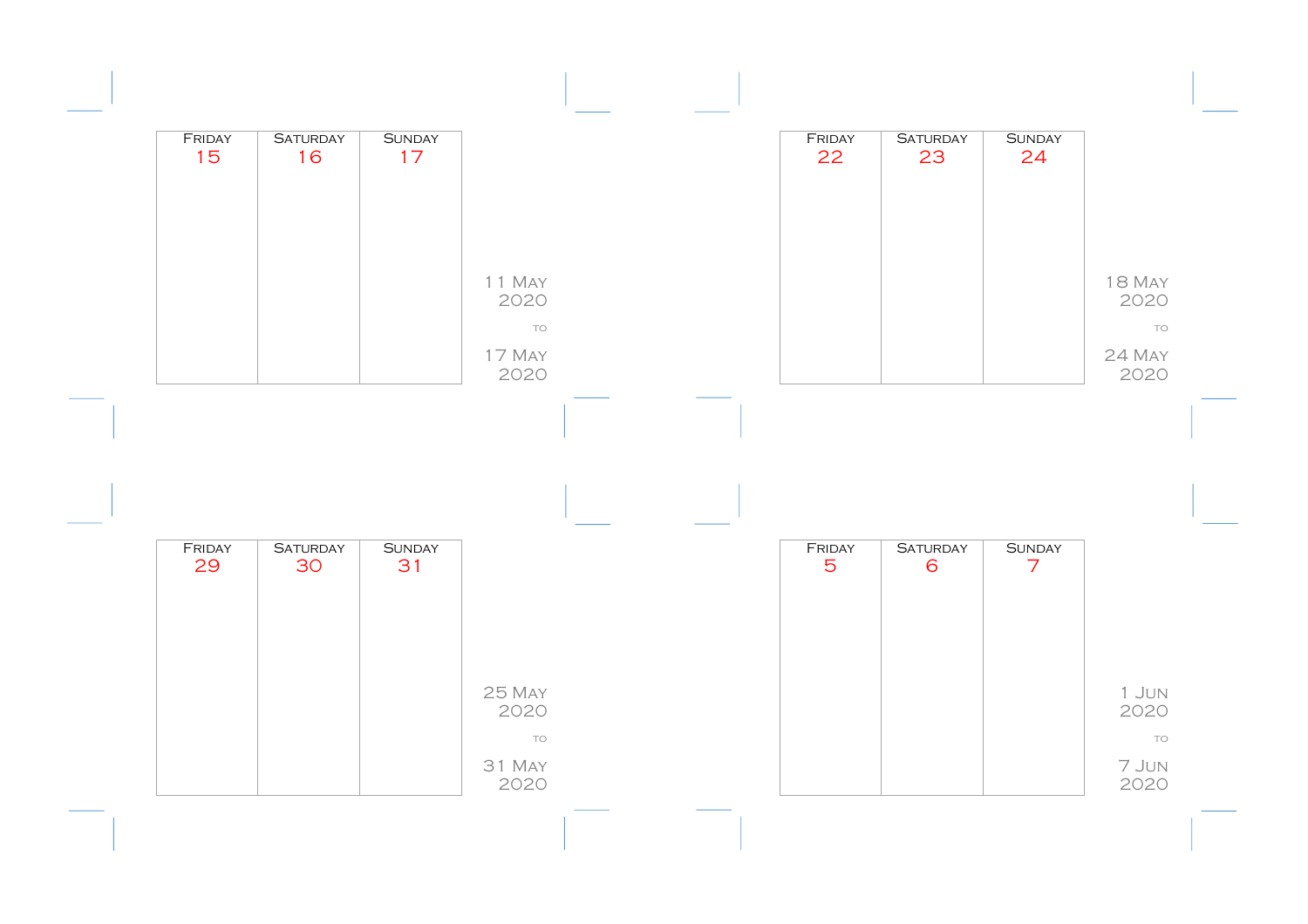| FRIDAY<br>15 | <b>SATURDAY</b><br>16 | <b>SUNDAY</b><br>17 |                              |  | FRIDAY<br>22             | <b>SATURDAY</b><br>23 | <b>SUNDAY</b><br>24             |                             |
|--------------|-----------------------|---------------------|------------------------------|--|--------------------------|-----------------------|---------------------------------|-----------------------------|
|              |                       |                     |                              |  |                          |                       |                                 |                             |
|              |                       |                     | 11 May<br>2020               |  |                          |                       |                                 | <b>18 MAY</b><br>2020       |
|              |                       |                     | <b>TO</b><br>17 May<br>2020  |  |                          |                       |                                 | TO<br>24 MAY<br>2020        |
|              |                       |                     |                              |  |                          |                       |                                 |                             |
|              |                       |                     |                              |  |                          |                       |                                 |                             |
| FRIDAY<br>29 | <b>SATURDAY</b><br>30 | <b>SUNDAY</b><br>31 |                              |  | FRIDAY<br>$\overline{5}$ | <b>SATURDAY</b><br>6  | <b>SUNDAY</b><br>$\overline{7}$ |                             |
|              |                       |                     |                              |  |                          |                       |                                 |                             |
|              |                       |                     | 25 MAY                       |  |                          |                       |                                 | 1 JUN                       |
|              |                       |                     |                              |  |                          |                       |                                 |                             |
|              |                       |                     | 2020<br>TO<br>31 MAY<br>2020 |  |                          |                       |                                 | 2020<br>TO<br>7 Jun<br>2020 |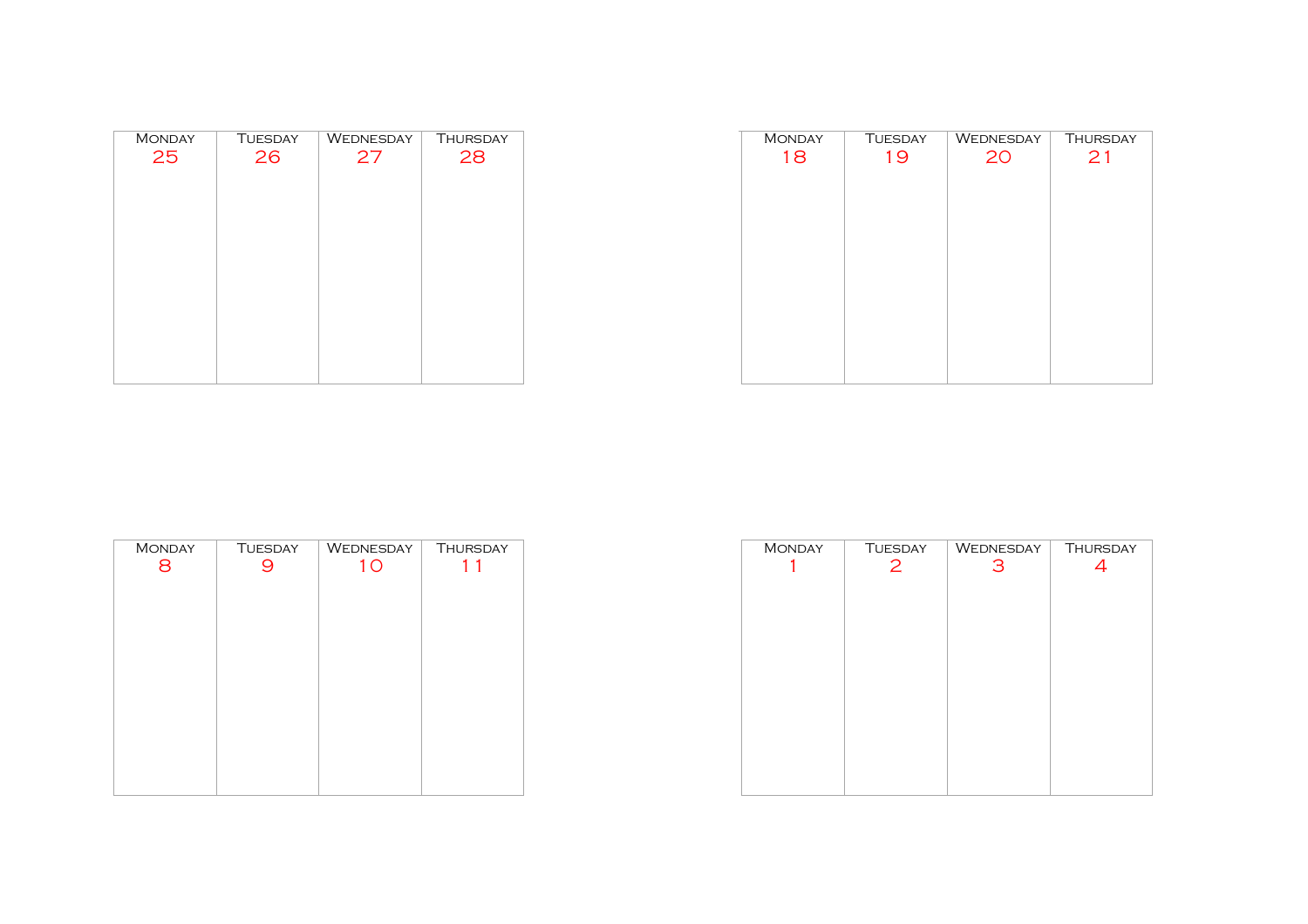| <b>MONDAY</b> | <b>TUESDAY</b> | WEDNESDAY | <b>THURSDAY</b> |
|---------------|----------------|-----------|-----------------|
| 25            | 26             | 27        | 28              |
|               |                |           |                 |
|               |                |           |                 |
|               |                |           |                 |
|               |                |           |                 |
|               |                |           |                 |
|               |                |           |                 |
|               |                |           |                 |
|               |                |           |                 |
|               |                |           |                 |

| <b>MONDAY</b> | <b>TUESDAY</b> | WEDNESDAY | <b>THURSDAY</b> |
|---------------|----------------|-----------|-----------------|
| 18            | 19             | 20        | 21              |
|               |                |           |                 |
|               |                |           |                 |
|               |                |           |                 |
|               |                |           |                 |
|               |                |           |                 |
|               |                |           |                 |
|               |                |           |                 |
|               |                |           |                 |
|               |                |           |                 |
|               |                |           |                 |
|               |                |           |                 |
|               |                |           |                 |
|               |                |           |                 |
|               |                |           |                 |

| <b>MONDAY</b> | <b>TUESDAY</b> | WEDNESDAY | <b>THURSDAY</b> |
|---------------|----------------|-----------|-----------------|
| 8             |                | 10        |                 |
|               |                |           |                 |
|               |                |           |                 |
|               |                |           |                 |
|               |                |           |                 |
|               |                |           |                 |
|               |                |           |                 |
|               |                |           |                 |
|               |                |           |                 |
|               |                |           |                 |
|               |                |           |                 |

| <b>MONDAY</b> | TUESDAY | WEDNESDAY | <b>THURSDAY</b> |
|---------------|---------|-----------|-----------------|
|               | 2       | З         | 4               |
|               |         |           |                 |
|               |         |           |                 |
|               |         |           |                 |
|               |         |           |                 |
|               |         |           |                 |
|               |         |           |                 |
|               |         |           |                 |
|               |         |           |                 |
|               |         |           |                 |
|               |         |           |                 |
|               |         |           |                 |
|               |         |           |                 |
|               |         |           |                 |
|               |         |           |                 |
|               |         |           |                 |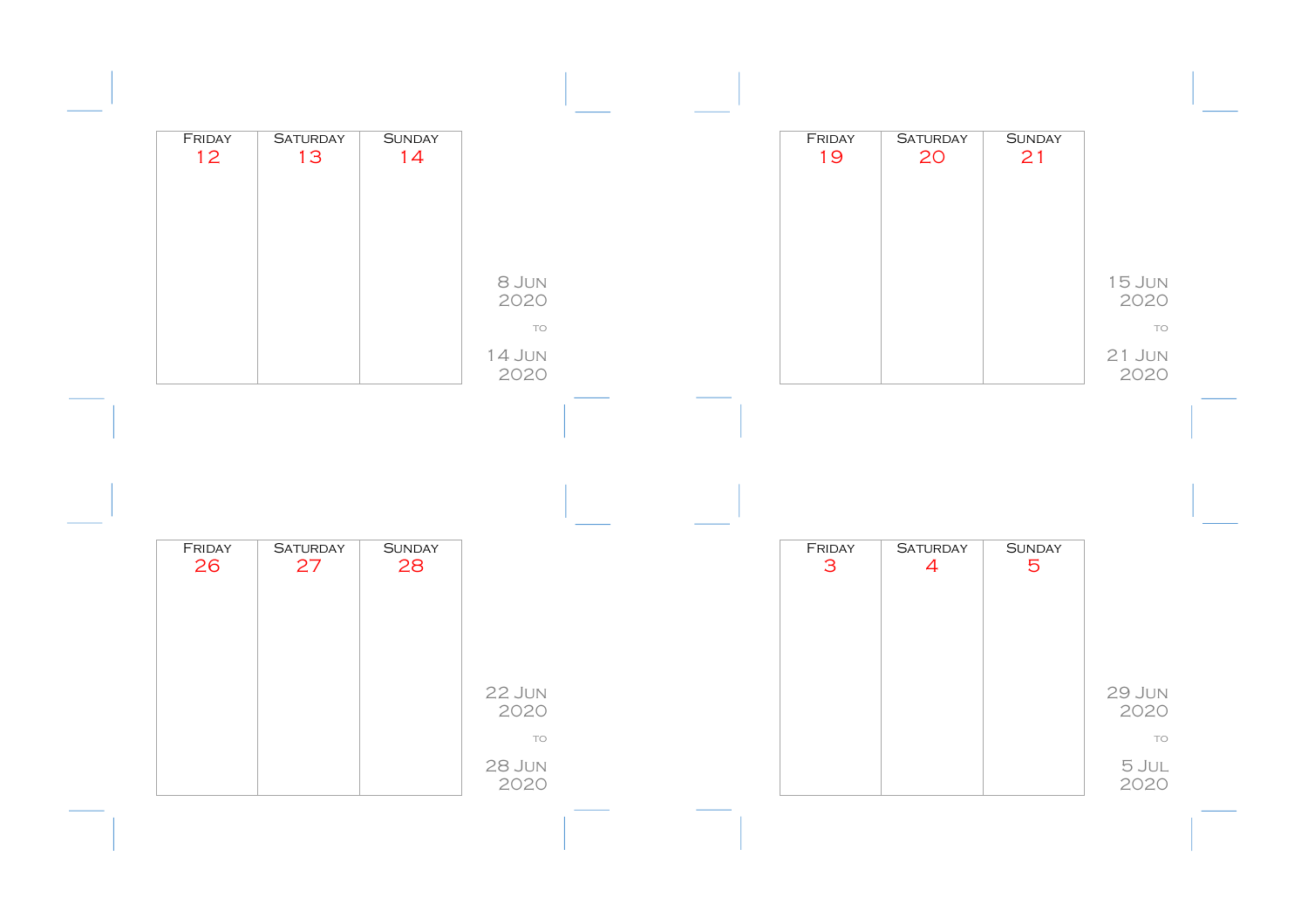| FRIDAY | <b>SATURDAY</b> | <b>SUNDAY</b> |                       |  | FRIDAY       | <b>SATURDAY</b> | <b>SUNDAY</b> |                   |
|--------|-----------------|---------------|-----------------------|--|--------------|-----------------|---------------|-------------------|
| 12     | 13              | 14            |                       |  | 19           | 20              | 21            |                   |
|        |                 |               |                       |  |              |                 |               |                   |
|        |                 |               |                       |  |              |                 |               |                   |
|        |                 |               | 8 JUN                 |  |              |                 |               | <b>15 JUN</b>     |
|        |                 |               | 2020<br>TO            |  |              |                 |               | 2020<br>TO        |
|        |                 |               | 14 JUN                |  |              |                 |               | $21$ JUN          |
|        |                 |               | 2020                  |  |              |                 |               | 2020              |
|        |                 |               |                       |  |              |                 |               |                   |
|        |                 |               |                       |  |              |                 |               |                   |
|        |                 |               |                       |  |              |                 |               |                   |
|        |                 |               |                       |  |              |                 |               |                   |
| FRIDAY | <b>SATURDAY</b> | <b>SUNDAY</b> |                       |  | FRIDAY       | <b>SATURDAY</b> | <b>SUNDAY</b> |                   |
| 26     | 27              | 28            |                       |  | $\mathbf{3}$ | $\overline{4}$  | 5             |                   |
|        |                 |               |                       |  |              |                 |               |                   |
|        |                 |               |                       |  |              |                 |               |                   |
|        |                 |               | 22 JUN                |  |              |                 |               | <b>29 JUN</b>     |
|        |                 |               | 2020<br>TO            |  |              |                 |               | 2020<br><b>TO</b> |
|        |                 |               | <b>28 JUN</b><br>2020 |  |              |                 |               | 5 JUL<br>2020     |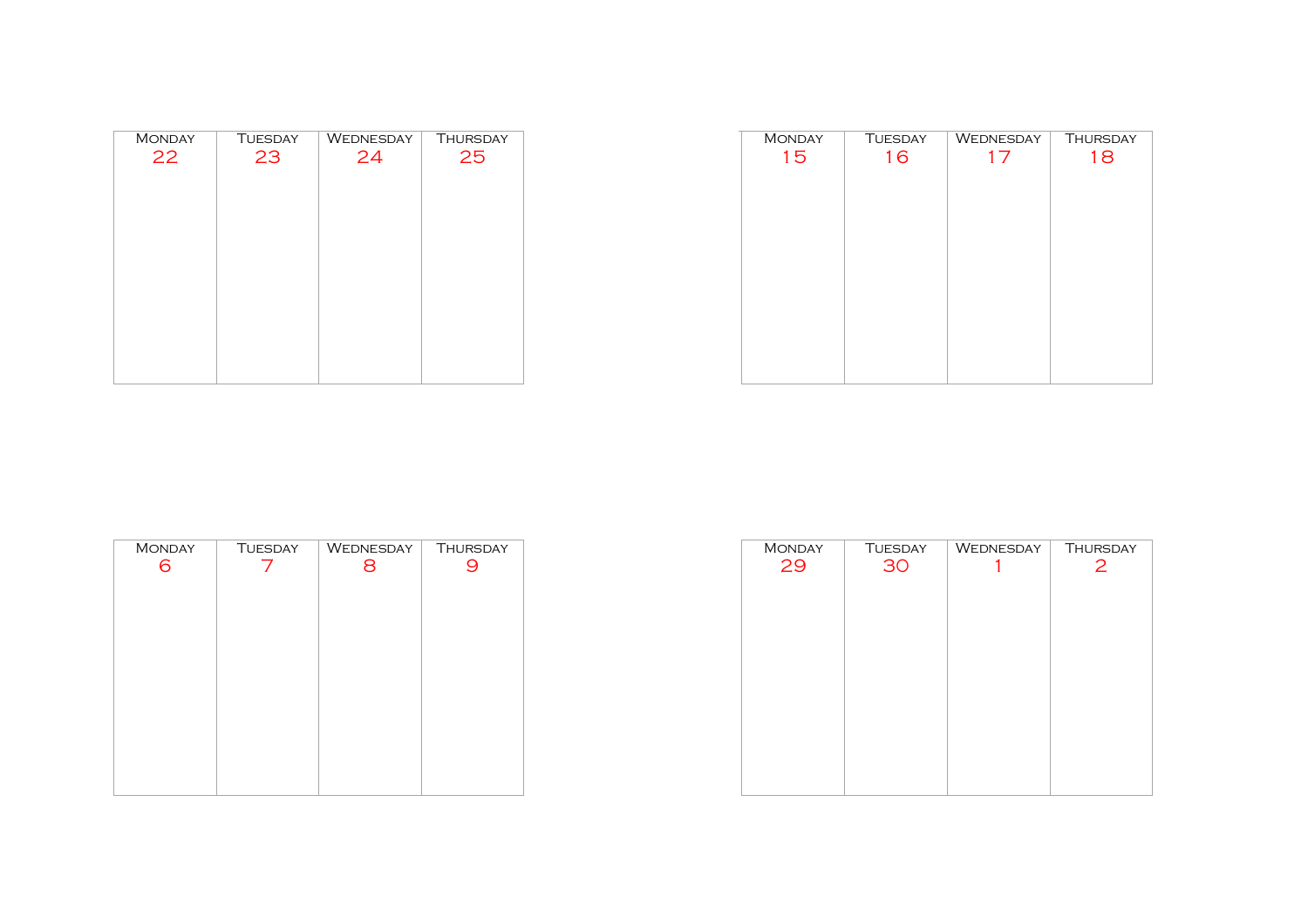| <b>MONDAY</b> | <b>TUESDAY</b> | WEDNESDAY | THURSDAY |
|---------------|----------------|-----------|----------|
| 22            | 23             | 24        | 25       |
|               |                |           |          |
|               |                |           |          |
|               |                |           |          |
|               |                |           |          |
|               |                |           |          |
|               |                |           |          |
|               |                |           |          |
|               |                |           |          |

| <b>MONDAY</b> | <b>TUESDAY</b> | WEDNESDAY | <b>THURSDAY</b> |
|---------------|----------------|-----------|-----------------|
| 15            | 16             | 17        | 18              |
|               |                |           |                 |
|               |                |           |                 |
|               |                |           |                 |
|               |                |           |                 |
|               |                |           |                 |
|               |                |           |                 |
|               |                |           |                 |
|               |                |           |                 |
|               |                |           |                 |
|               |                |           |                 |
|               |                |           |                 |
|               |                |           |                 |
|               |                |           |                 |
|               |                |           |                 |

| <b>MONDAY</b> | <b>TUESDAY</b> | WEDNESDAY | <b>THURSDAY</b> |
|---------------|----------------|-----------|-----------------|
|               |                | 8         |                 |
|               |                |           |                 |
|               |                |           |                 |
|               |                |           |                 |
|               |                |           |                 |
|               |                |           |                 |
|               |                |           |                 |
|               |                |           |                 |
|               |                |           |                 |
|               |                |           |                 |
|               |                |           |                 |
|               |                |           |                 |

| <b>MONDAY</b> | <b>TUESDAY</b> | WEDNESDAY | <b>THURSDAY</b> |
|---------------|----------------|-----------|-----------------|
| 29            | 30             |           | 2               |
|               |                |           |                 |
|               |                |           |                 |
|               |                |           |                 |
|               |                |           |                 |
|               |                |           |                 |
|               |                |           |                 |
|               |                |           |                 |
|               |                |           |                 |
|               |                |           |                 |
|               |                |           |                 |
|               |                |           |                 |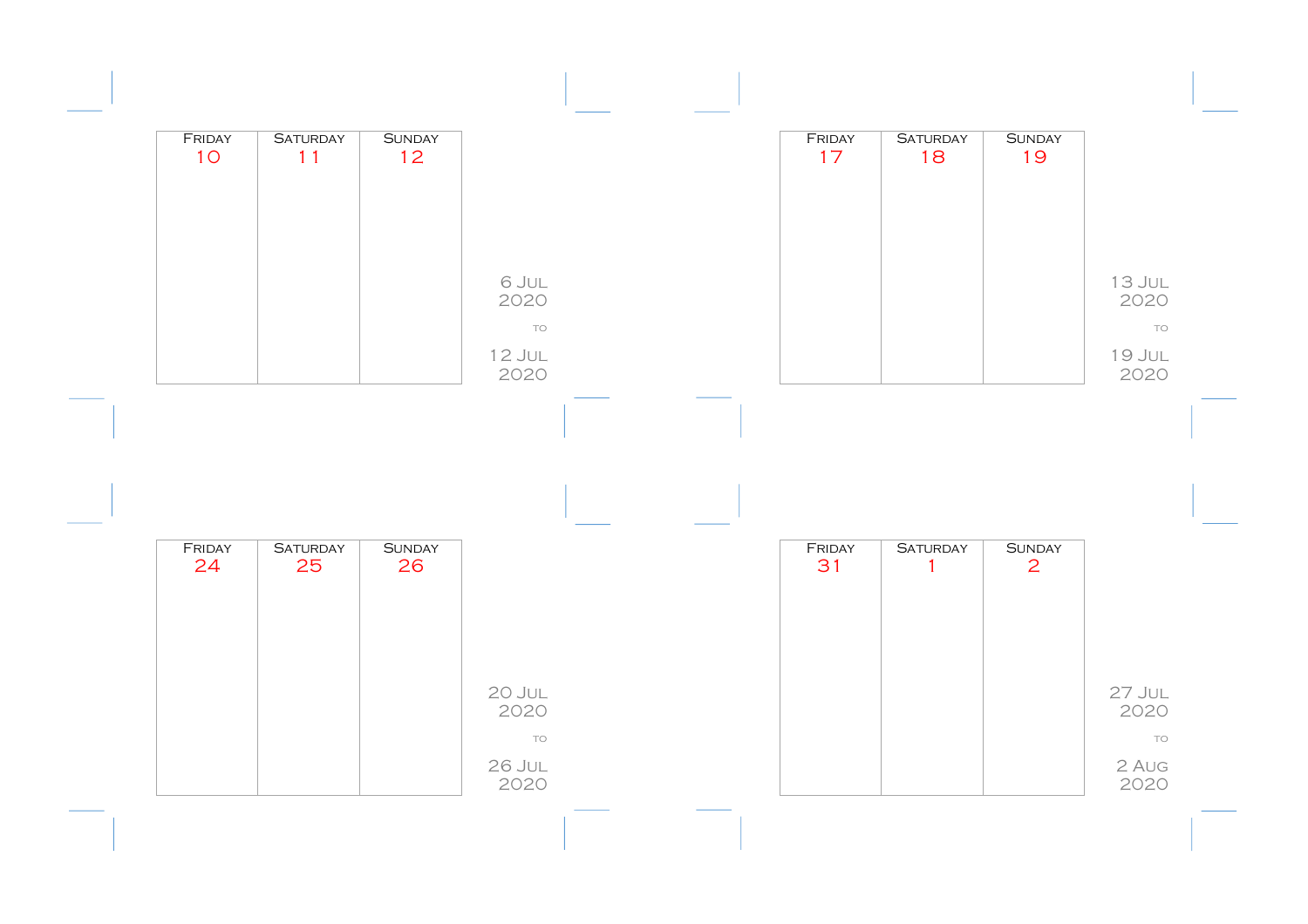| FRIDAY<br>10 | <b>SATURDAY</b><br>11 | <b>SUNDAY</b><br>12 <sup>°</sup> |                             |  | FRIDAY<br>17 | <b>SATURDAY</b><br>18 | <b>SUNDAY</b><br>19 |                                 |
|--------------|-----------------------|----------------------------------|-----------------------------|--|--------------|-----------------------|---------------------|---------------------------------|
|              |                       |                                  |                             |  |              |                       |                     |                                 |
|              |                       |                                  |                             |  |              |                       |                     |                                 |
|              |                       |                                  | 6 JUL<br>2020               |  |              |                       |                     | <b>13 JUL</b><br>2020           |
|              |                       |                                  | TO                          |  |              |                       |                     | TO                              |
|              |                       |                                  | <b>12 JUL</b><br>2020       |  |              |                       |                     | 19 JUL<br>2020                  |
|              |                       |                                  |                             |  |              |                       |                     |                                 |
|              |                       |                                  |                             |  |              |                       |                     |                                 |
|              |                       |                                  |                             |  |              |                       |                     |                                 |
|              |                       |                                  |                             |  |              |                       |                     |                                 |
| FRIDAY       | <b>SATURDAY</b>       | <b>SUNDAY</b>                    |                             |  | FRIDAY       | <b>SATURDAY</b>       | <b>SUNDAY</b>       |                                 |
| 24           | 25                    | 26                               |                             |  | 31           | $\mathbf{1}$          | $\overline{2}$      |                                 |
|              |                       |                                  |                             |  |              |                       |                     |                                 |
|              |                       |                                  |                             |  |              |                       |                     |                                 |
|              |                       |                                  | 20 JUL<br>2020              |  |              |                       |                     | 2020                            |
|              |                       |                                  | TO<br><b>26 JUL</b><br>2020 |  |              |                       |                     | $27$ JUL<br>TO<br>2 AUG<br>2020 |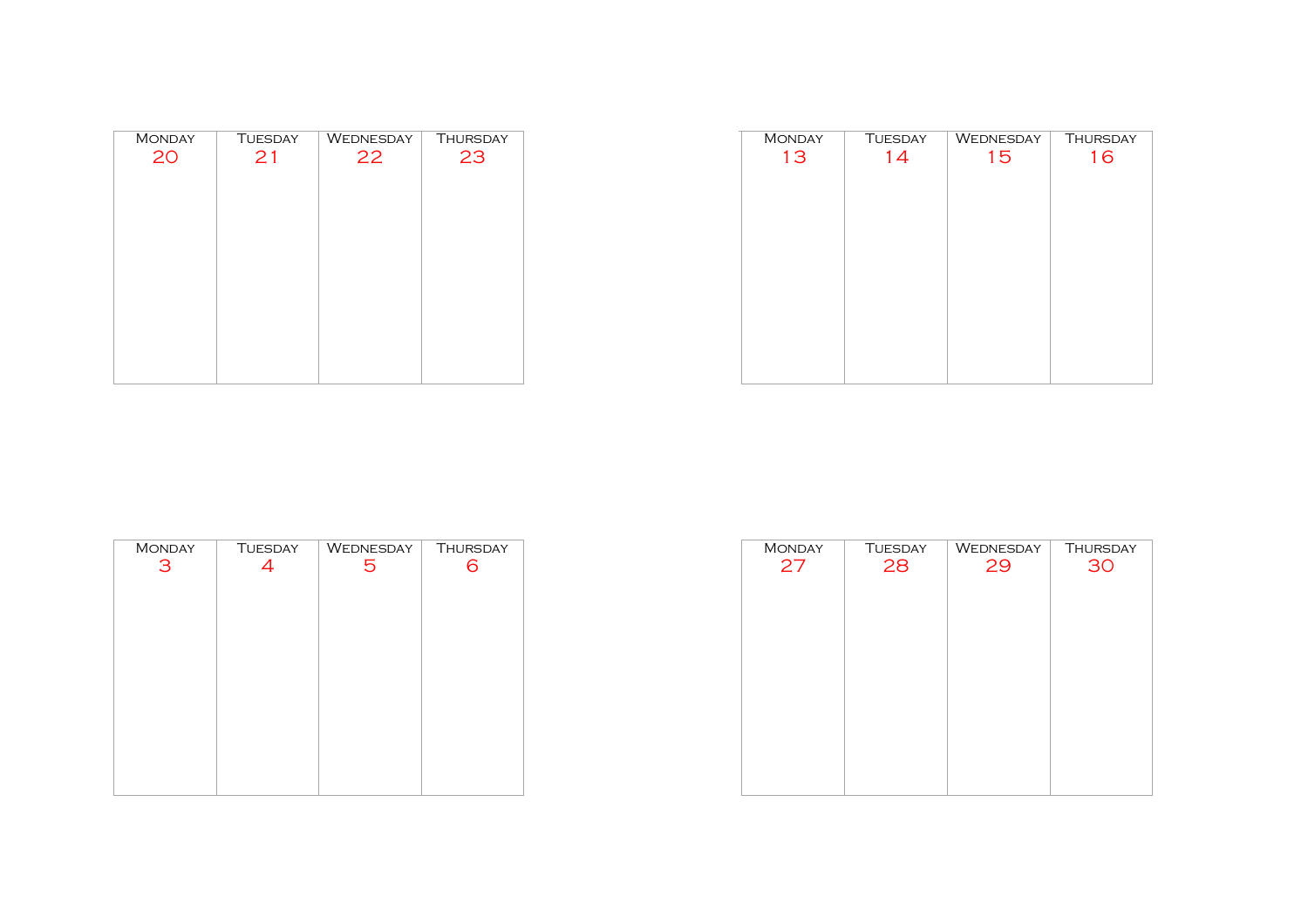| <b>MONDAY</b> | <b>TUESDAY</b> | <b>WEDNESDAY</b> | <b>THURSDAY</b> |
|---------------|----------------|------------------|-----------------|
| 20            | 21             | 22               | 23              |
|               |                |                  |                 |
|               |                |                  |                 |
|               |                |                  |                 |
|               |                |                  |                 |
|               |                |                  |                 |
|               |                |                  |                 |
|               |                |                  |                 |
|               |                |                  |                 |
|               |                |                  |                 |

| <b>MONDAY</b> | <b>TUESDAY</b> | WEDNESDAY | <b>THURSDAY</b> |
|---------------|----------------|-----------|-----------------|
| 13            | 14             | 15        | 16              |
|               |                |           |                 |
|               |                |           |                 |
|               |                |           |                 |
|               |                |           |                 |
|               |                |           |                 |
|               |                |           |                 |
|               |                |           |                 |
|               |                |           |                 |
|               |                |           |                 |
|               |                |           |                 |
|               |                |           |                 |
|               |                |           |                 |
|               |                |           |                 |

| <b>MONDAY</b> | <b>TUESDAY</b> | WEDNESDAY | THURSDAY |
|---------------|----------------|-----------|----------|
| 3             | 4              | 5         | 6        |
|               |                |           |          |
|               |                |           |          |
|               |                |           |          |
|               |                |           |          |
|               |                |           |          |
|               |                |           |          |
|               |                |           |          |
|               |                |           |          |
|               |                |           |          |
|               |                |           |          |
|               |                |           |          |
|               |                |           |          |

| <b>MONDAY</b> | <b>TUESDAY</b> | WEDNESDAY | <b>THURSDAY</b> |
|---------------|----------------|-----------|-----------------|
|               |                |           |                 |
| 27            | 28             | 29        | 30              |
|               |                |           |                 |
|               |                |           |                 |
|               |                |           |                 |
|               |                |           |                 |
|               |                |           |                 |
|               |                |           |                 |
|               |                |           |                 |
|               |                |           |                 |
|               |                |           |                 |
|               |                |           |                 |
|               |                |           |                 |
|               |                |           |                 |
|               |                |           |                 |
|               |                |           |                 |
|               |                |           |                 |
|               |                |           |                 |
|               |                |           |                 |
|               |                |           |                 |
|               |                |           |                 |
|               |                |           |                 |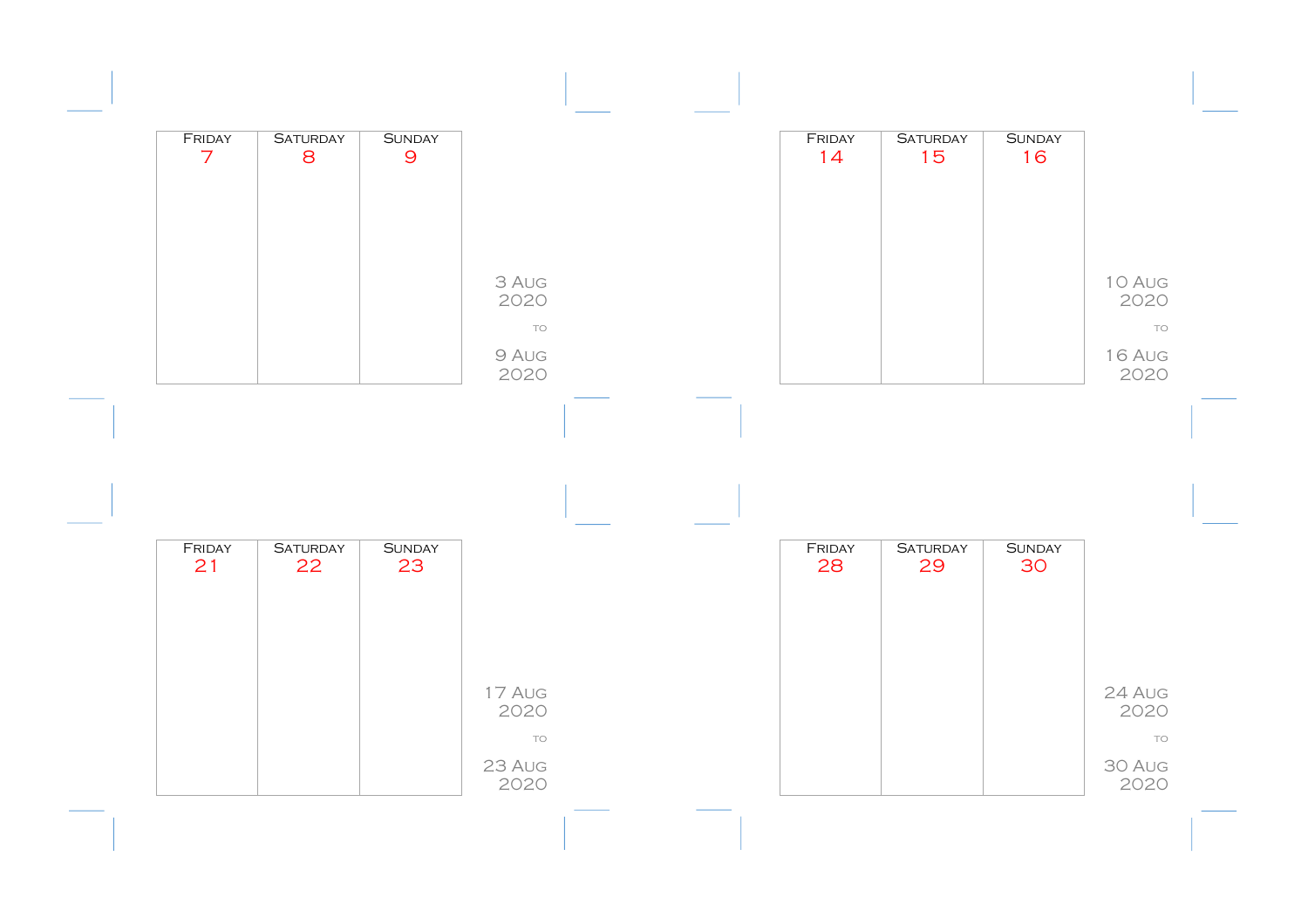| FRIDAY<br>$\overline{7}$ | <b>SATURDAY</b><br>8  | <b>SUNDAY</b><br>$\overline{9}$ |                     |  | FRIDAY<br>14 | <b>SATURDAY</b><br>15 | <b>SUNDAY</b><br>16 |                      |  |
|--------------------------|-----------------------|---------------------------------|---------------------|--|--------------|-----------------------|---------------------|----------------------|--|
|                          |                       |                                 |                     |  |              |                       |                     |                      |  |
|                          |                       |                                 | 3 AUG<br>2020       |  |              |                       |                     | 10 Aug<br>2020       |  |
|                          |                       |                                 | TO<br>9 AUG<br>2020 |  |              |                       |                     | TO<br>16 AUG<br>2020 |  |
|                          |                       |                                 |                     |  |              |                       |                     |                      |  |
|                          |                       |                                 |                     |  |              |                       |                     |                      |  |
| FRIDAY<br>21             | <b>SATURDAY</b><br>22 | <b>SUNDAY</b><br>23             |                     |  | FRIDAY<br>28 | <b>SATURDAY</b><br>29 | <b>SUNDAY</b><br>30 |                      |  |
|                          |                       |                                 |                     |  |              |                       |                     |                      |  |
|                          |                       |                                 | 17 AUG              |  |              |                       |                     | 24 AUG               |  |
|                          |                       |                                 | 2020                |  |              |                       |                     | 2020                 |  |
|                          |                       |                                 | TO                  |  |              |                       |                     | TO                   |  |
|                          |                       |                                 | 23 AUG<br>2020      |  |              |                       |                     | 30 AUG<br>2020       |  |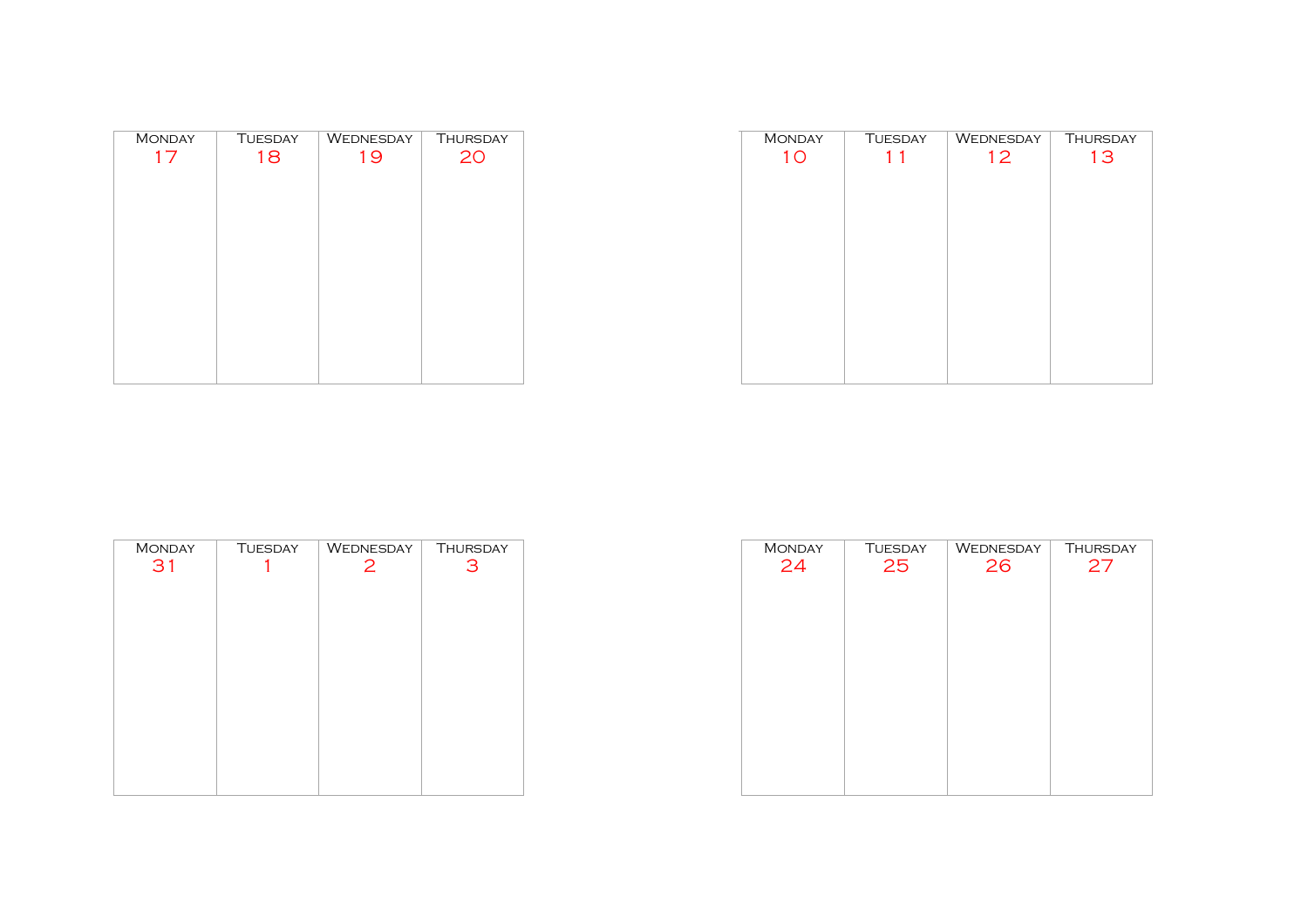| <b>MONDAY</b> | <b>TUESDAY</b> | WEDNESDAY | <b>THURSDAY</b> |
|---------------|----------------|-----------|-----------------|
| 17            | 18             | 19        | 20              |
|               |                |           |                 |
|               |                |           |                 |
|               |                |           |                 |
|               |                |           |                 |
|               |                |           |                 |
|               |                |           |                 |
|               |                |           |                 |
|               |                |           |                 |
|               |                |           |                 |
|               |                |           |                 |
|               |                |           |                 |
|               |                |           |                 |

| <b>MONDAY</b> | <b>TUESDAY</b> | WEDNESDAY | <b>THURSDAY</b> |
|---------------|----------------|-----------|-----------------|
| 10            | 1 <sub>1</sub> | 12        | 13              |
|               |                |           |                 |
|               |                |           |                 |
|               |                |           |                 |
|               |                |           |                 |
|               |                |           |                 |
|               |                |           |                 |
|               |                |           |                 |
|               |                |           |                 |
|               |                |           |                 |
|               |                |           |                 |
|               |                |           |                 |
|               |                |           |                 |
|               |                |           |                 |

| <b>TUESDAY</b> | WEDNESDAY      | <b>THURSDAY</b> |
|----------------|----------------|-----------------|
|                | $\overline{2}$ | 3               |
|                |                |                 |
|                |                |                 |
|                |                |                 |
|                |                |                 |
|                |                |                 |
|                |                |                 |
|                |                |                 |
|                |                |                 |
|                |                |                 |
|                |                |                 |
|                |                |                 |
|                |                |                 |

| <b>MONDAY</b> | <b>TUESDAY</b> | WEDNESDAY | <b>THURSDAY</b> |
|---------------|----------------|-----------|-----------------|
| 24            | 25             | 26        | 27              |
|               |                |           |                 |
|               |                |           |                 |
|               |                |           |                 |
|               |                |           |                 |
|               |                |           |                 |
|               |                |           |                 |
|               |                |           |                 |
|               |                |           |                 |
|               |                |           |                 |
|               |                |           |                 |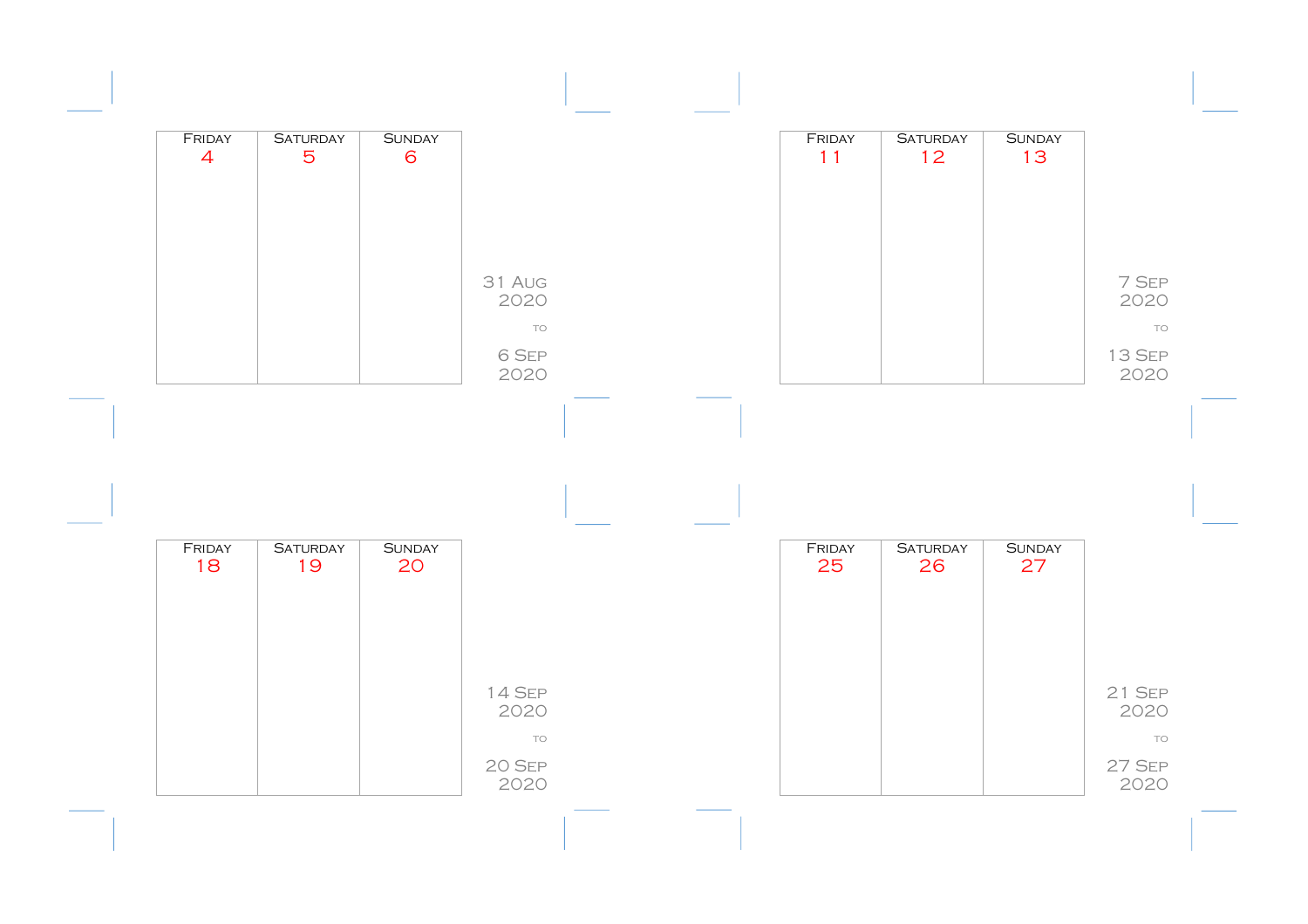| FRIDAY<br>$\overline{4}$ | <b>SATURDAY</b><br>5  | <b>SUNDAY</b><br>6  |                      |  | FRIDAY<br>11 | <b>SATURDAY</b><br>12 | <b>SUNDAY</b><br>13 |                        |
|--------------------------|-----------------------|---------------------|----------------------|--|--------------|-----------------------|---------------------|------------------------|
|                          |                       |                     |                      |  |              |                       |                     |                        |
|                          |                       |                     | 31 AUG<br>2020<br>TO |  |              |                       |                     | 7 SEP<br>2020<br>TO    |
|                          |                       |                     | 6 SEP                |  |              |                       |                     | 13 SEP                 |
|                          |                       |                     | 2020                 |  |              |                       |                     | 2020                   |
|                          |                       |                     |                      |  |              |                       |                     |                        |
|                          |                       |                     |                      |  |              |                       |                     |                        |
| FRIDAY<br>18             | <b>SATURDAY</b><br>19 | <b>SUNDAY</b><br>20 |                      |  | FRIDAY<br>25 | <b>SATURDAY</b><br>26 | <b>SUNDAY</b><br>27 |                        |
|                          |                       |                     |                      |  |              |                       |                     |                        |
|                          |                       |                     |                      |  |              |                       |                     |                        |
|                          |                       |                     | 14 SEP<br>2020<br>TO |  |              |                       |                     | $21$ SEP<br>2020<br>TO |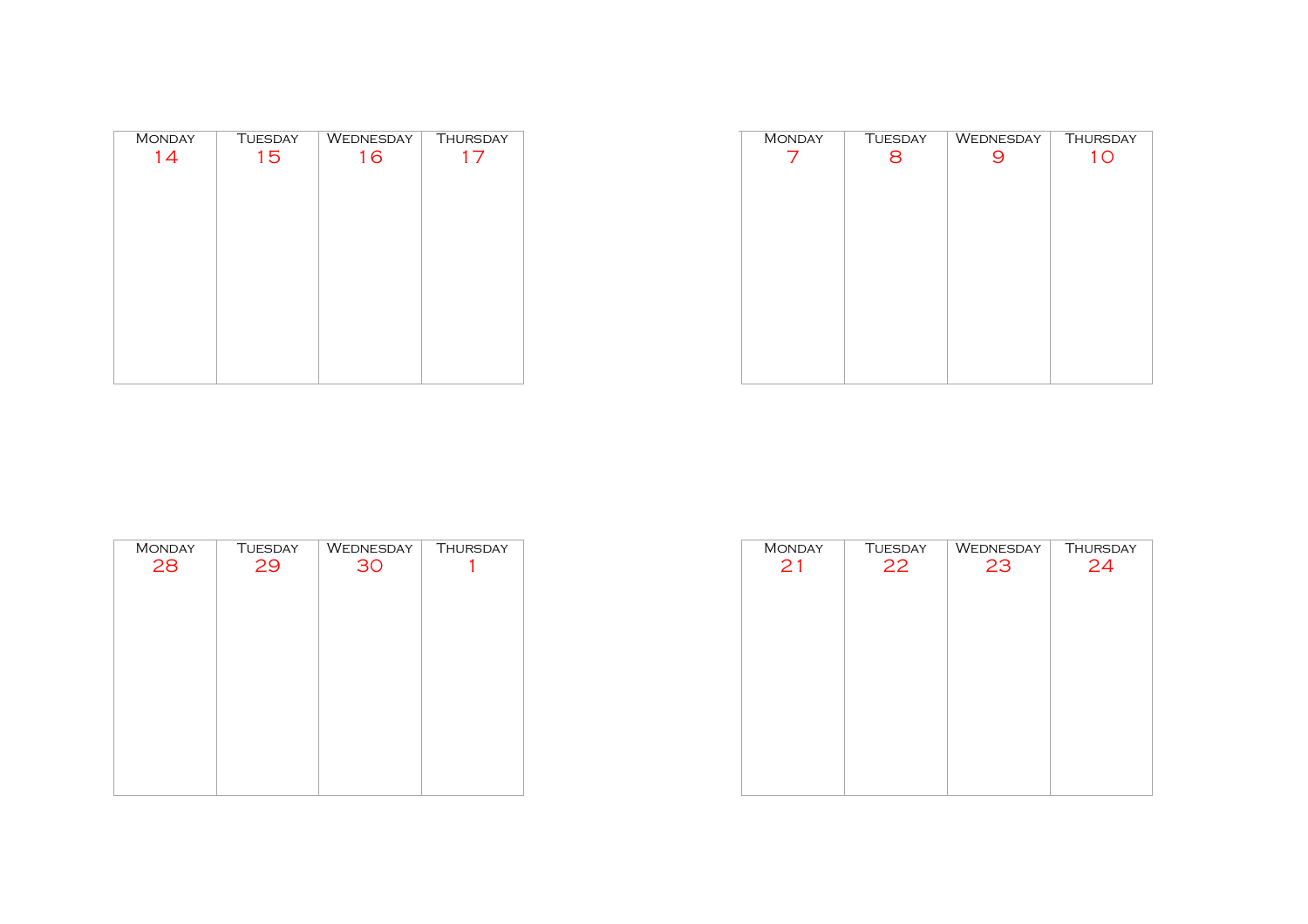| <b>MONDAY</b> | <b>TUESDAY</b> | WEDNESDAY | <b>THURSDAY</b> |
|---------------|----------------|-----------|-----------------|
| 14            | 15             | 16        | 17              |
|               |                |           |                 |
|               |                |           |                 |
|               |                |           |                 |
|               |                |           |                 |
|               |                |           |                 |
|               |                |           |                 |
|               |                |           |                 |
|               |                |           |                 |
|               |                |           |                 |
|               |                |           |                 |
|               |                |           |                 |
|               |                |           |                 |
|               |                |           |                 |

| <b>MONDAY</b> | <b>TUESDAY</b> | WEDNESDAY | <b>THURSDAY</b> |
|---------------|----------------|-----------|-----------------|
| 7             | 8              | 9         | 10              |
|               |                |           |                 |
|               |                |           |                 |
|               |                |           |                 |
|               |                |           |                 |
|               |                |           |                 |
|               |                |           |                 |
|               |                |           |                 |
|               |                |           |                 |
|               |                |           |                 |
|               |                |           |                 |
|               |                |           |                 |
|               |                |           |                 |
|               |                |           |                 |

| <b>MONDAY</b> | <b>TUESDAY</b> | WEDNESDAY | <b>THURSDAY</b> |
|---------------|----------------|-----------|-----------------|
| 28            | 29             | 30        |                 |
|               |                |           |                 |
|               |                |           |                 |
|               |                |           |                 |
|               |                |           |                 |
|               |                |           |                 |
|               |                |           |                 |
|               |                |           |                 |
|               |                |           |                 |
|               |                |           |                 |
|               |                |           |                 |
|               |                |           |                 |
|               |                |           |                 |

| <b>MONDAY</b> | <b>TUESDAY</b> | WEDNESDAY | <b>THURSDAY</b> |
|---------------|----------------|-----------|-----------------|
| 21            | 22             | 23        | 24              |
|               |                |           |                 |
|               |                |           |                 |
|               |                |           |                 |
|               |                |           |                 |
|               |                |           |                 |
|               |                |           |                 |
|               |                |           |                 |
|               |                |           |                 |
|               |                |           |                 |
|               |                |           |                 |
|               |                |           |                 |
|               |                |           |                 |
|               |                |           |                 |
|               |                |           |                 |
|               |                |           |                 |
|               |                |           |                 |
|               |                |           |                 |
|               |                |           |                 |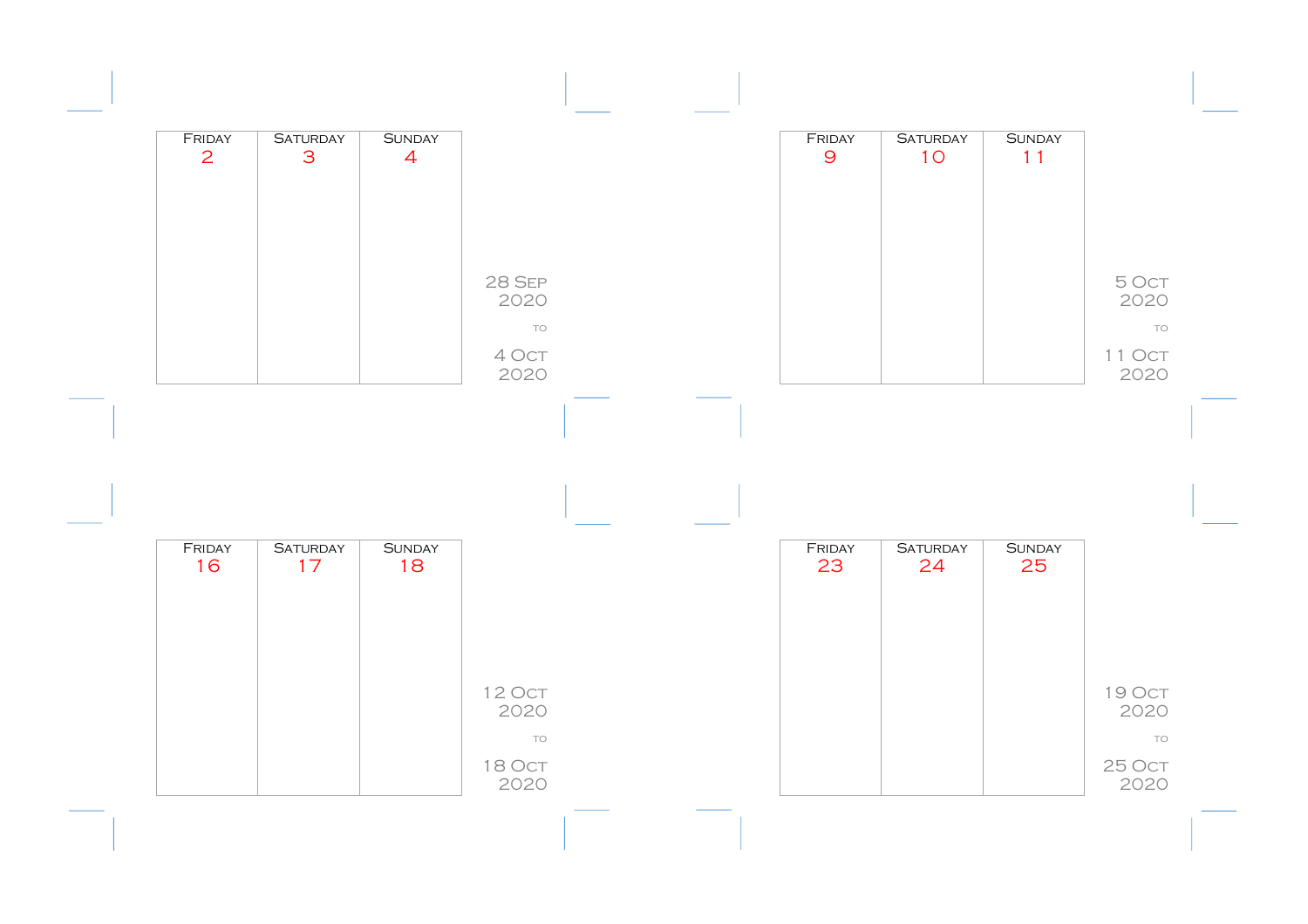| FRIDAY<br>2  | <b>SATURDAY</b><br>$\mathbf{3}$ | <b>SUNDAY</b><br>$\overline{4}$ |                                              |  | FRIDAY<br>$\overline{9}$ | <b>SATURDAY</b><br>10 | <b>SUNDAY</b><br>11 |                                       |
|--------------|---------------------------------|---------------------------------|----------------------------------------------|--|--------------------------|-----------------------|---------------------|---------------------------------------|
|              |                                 |                                 | <b>28 SEP</b><br>2020<br>TO<br>4 Oct<br>2020 |  |                          |                       |                     | 5 OCT<br>2020<br>TO<br>11 Oct<br>2020 |
|              |                                 |                                 |                                              |  |                          |                       |                     |                                       |
|              |                                 |                                 |                                              |  |                          |                       |                     |                                       |
| FRIDAY<br>16 | <b>SATURDAY</b><br>17           | <b>SUNDAY</b><br>18             | 12 Oct<br>2020                               |  | FRIDAY<br>23             | <b>SATURDAY</b><br>24 | <b>SUNDAY</b><br>25 | 19 Oct<br>2020                        |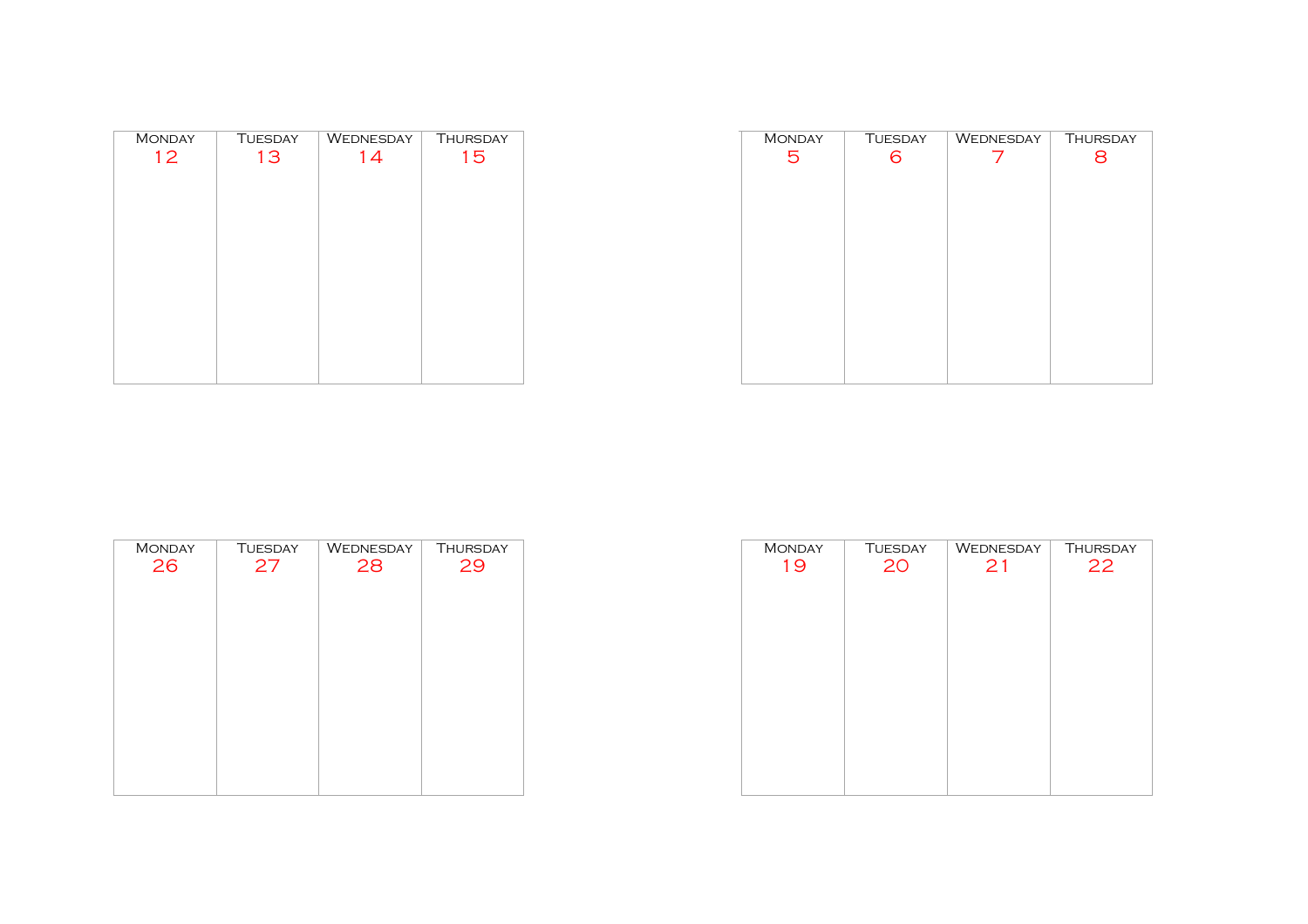| <b>MONDAY</b> | <b>TUESDAY</b> | <b>WEDNESDAY</b> | THURSDAY |
|---------------|----------------|------------------|----------|
| 12            | 13             | 14               | 15       |
|               |                |                  |          |
|               |                |                  |          |
|               |                |                  |          |
|               |                |                  |          |
|               |                |                  |          |
|               |                |                  |          |
|               |                |                  |          |
|               |                |                  |          |
|               |                |                  |          |

| <b>MONDAY</b> | <b>TUESDAY</b> | WEDNESDAY | <b>THURSDAY</b> |
|---------------|----------------|-----------|-----------------|
| 5             | 6              |           | 8               |
|               |                |           |                 |
|               |                |           |                 |
|               |                |           |                 |
|               |                |           |                 |
|               |                |           |                 |
|               |                |           |                 |
|               |                |           |                 |
|               |                |           |                 |
|               |                |           |                 |
|               |                |           |                 |
|               |                |           |                 |
|               |                |           |                 |
|               |                |           |                 |

| <b>MONDAY</b> | <b>TUESDAY</b> | WEDNESDAY | <b>THURSDAY</b> |
|---------------|----------------|-----------|-----------------|
| 26            | 27             | 28        | 29              |
|               |                |           |                 |
|               |                |           |                 |
|               |                |           |                 |
|               |                |           |                 |
|               |                |           |                 |
|               |                |           |                 |
|               |                |           |                 |
|               |                |           |                 |
|               |                |           |                 |
|               |                |           |                 |
|               |                |           |                 |

| <b>MONDAY</b> | <b>TUESDAY</b> | WEDNESDAY | <b>THURSDAY</b> |
|---------------|----------------|-----------|-----------------|
| 19            | 20             | 21        | 22              |
|               |                |           |                 |
|               |                |           |                 |
|               |                |           |                 |
|               |                |           |                 |
|               |                |           |                 |
|               |                |           |                 |
|               |                |           |                 |
|               |                |           |                 |
|               |                |           |                 |
|               |                |           |                 |
|               |                |           |                 |
|               |                |           |                 |
|               |                |           |                 |
|               |                |           |                 |
|               |                |           |                 |
|               |                |           |                 |
|               |                |           |                 |
|               |                |           |                 |
|               |                |           |                 |
|               |                |           |                 |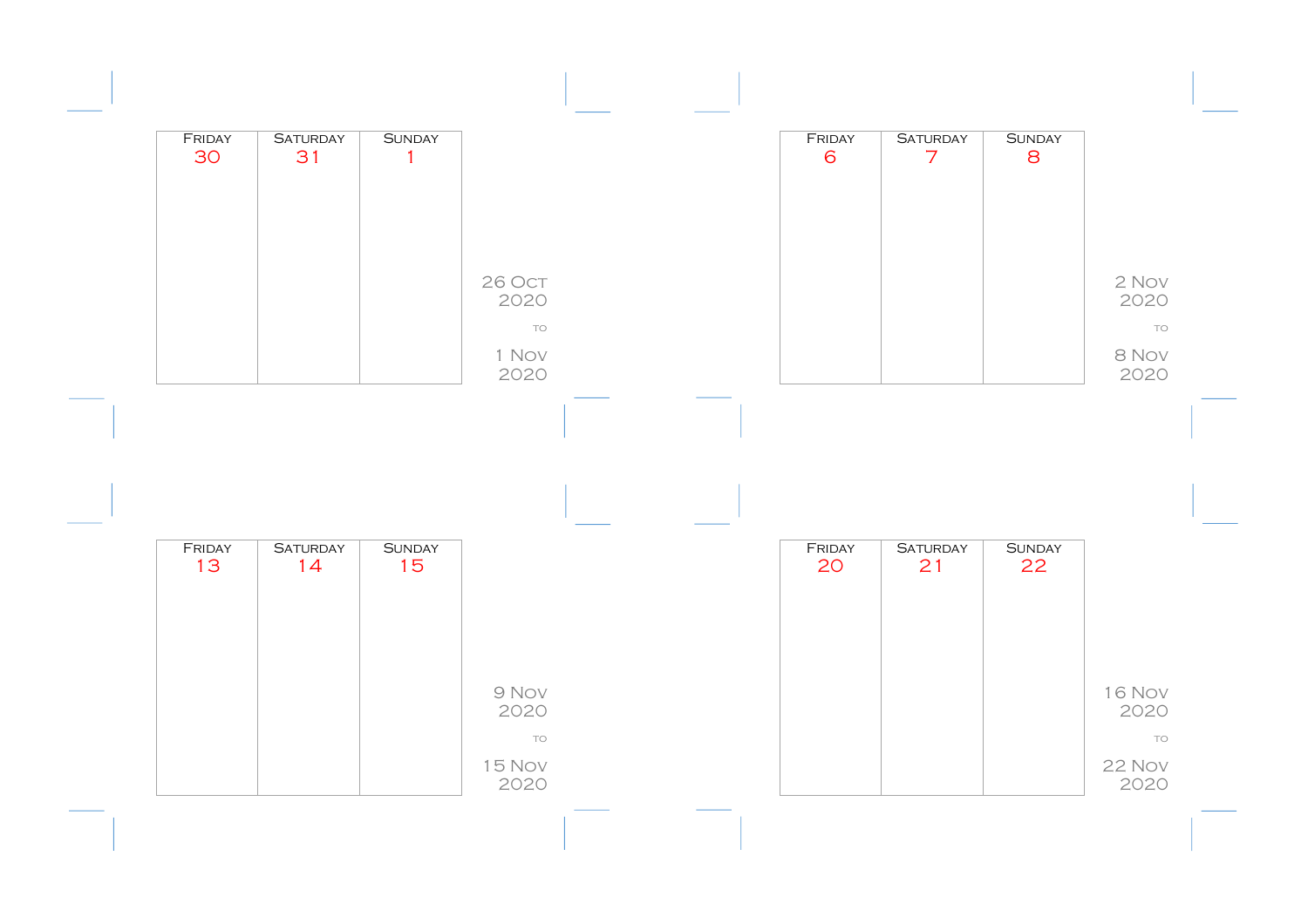| FRIDAY<br>30 | <b>SATURDAY</b><br>31 | <b>SUNDAY</b><br>$\mathbf{1}$ |                             |  | FRIDAY<br>6 | <b>SATURDAY</b><br>$\overline{7}$ | <b>SUNDAY</b><br>8 |                             |
|--------------|-----------------------|-------------------------------|-----------------------------|--|-------------|-----------------------------------|--------------------|-----------------------------|
|              |                       |                               | 26 Oct                      |  |             |                                   |                    | 2 Nov                       |
|              |                       |                               | 2020<br>TO<br>1 Nov<br>2020 |  |             |                                   |                    | 2020<br>TO<br>8 Nov<br>2020 |
|              |                       |                               |                             |  |             |                                   |                    |                             |
|              |                       |                               |                             |  |             |                                   |                    |                             |
| FRIDAY       |                       |                               |                             |  | FRIDAY      | <b>SATURDAY</b>                   | <b>SUNDAY</b>      |                             |
| 13           | <b>SATURDAY</b><br>14 | <b>SUNDAY</b><br>15           |                             |  | 20          | 21                                | 22                 |                             |
|              |                       |                               |                             |  |             |                                   |                    |                             |
|              |                       |                               | 9 Nov<br>2020<br>TO         |  |             |                                   |                    | <b>16 Nov</b><br>2020<br>TO |
|              |                       |                               | <b>15 Nov</b><br>2020       |  |             |                                   |                    | 22 Nov<br>2020              |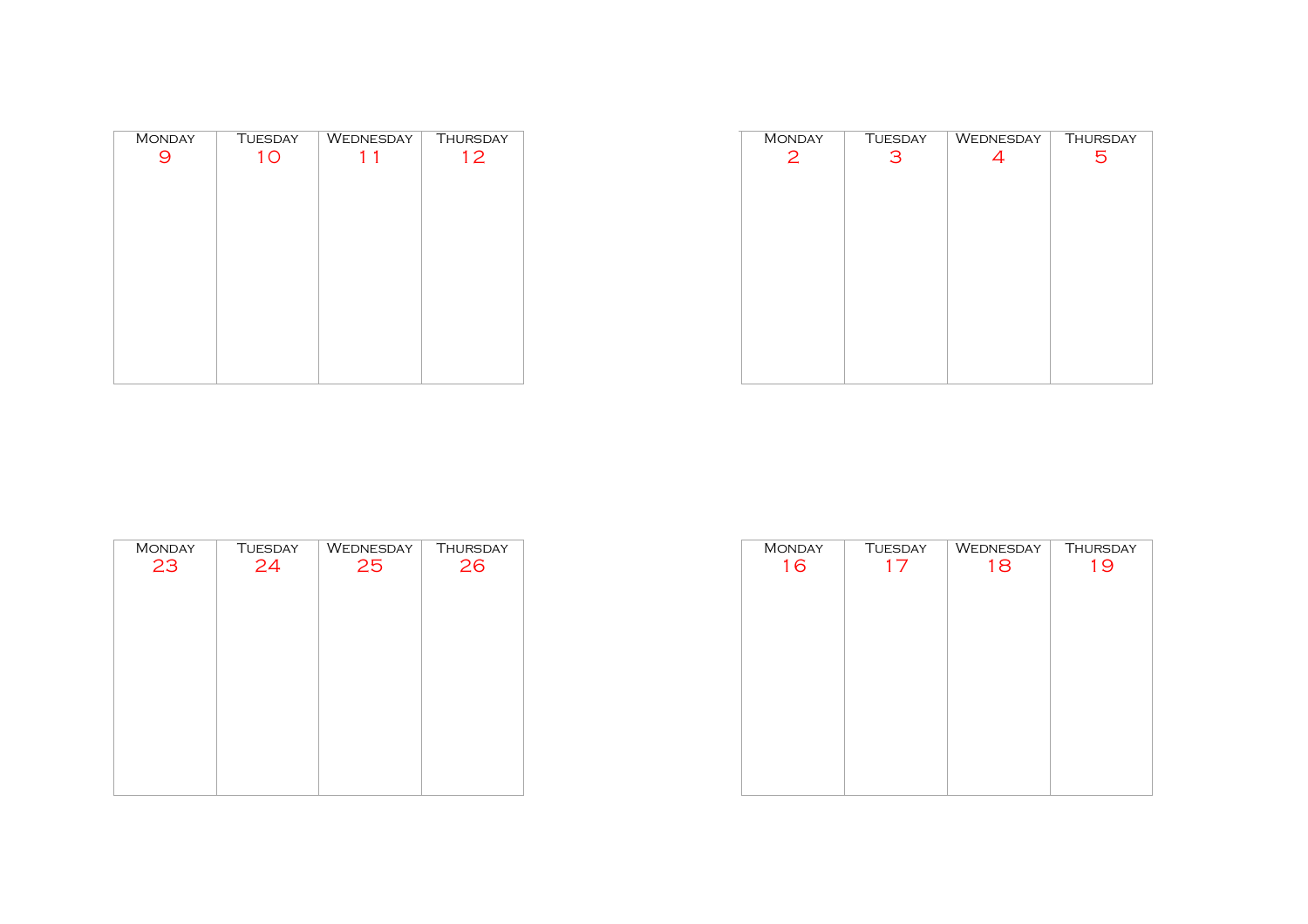| <b>MONDAY</b> | <b>TUESDAY</b> | WEDNESDAY | <b>THURSDAY</b> |
|---------------|----------------|-----------|-----------------|
|               | 1 <sub>O</sub> | 11        | 12              |
|               |                |           |                 |
|               |                |           |                 |
|               |                |           |                 |
|               |                |           |                 |
|               |                |           |                 |
|               |                |           |                 |
|               |                |           |                 |
|               |                |           |                 |
|               |                |           |                 |
|               |                |           |                 |
|               |                |           |                 |
|               |                |           |                 |
|               |                |           |                 |

| <b>MONDAY</b> | <b>TUESDAY</b> | WEDNESDAY | <b>THURSDAY</b> |
|---------------|----------------|-----------|-----------------|
| 2             | 3              | 4         | 5               |
|               |                |           |                 |
|               |                |           |                 |
|               |                |           |                 |
|               |                |           |                 |
|               |                |           |                 |
|               |                |           |                 |
|               |                |           |                 |
|               |                |           |                 |
|               |                |           |                 |
|               |                |           |                 |
|               |                |           |                 |
|               |                |           |                 |
|               |                |           |                 |

| <b>MONDAY</b> | <b>TUESDAY</b> | WEDNESDAY | <b>THURSDAY</b> |
|---------------|----------------|-----------|-----------------|
| 23            | 24             | 25        | 26              |
|               |                |           |                 |
|               |                |           |                 |
|               |                |           |                 |
|               |                |           |                 |
|               |                |           |                 |
|               |                |           |                 |
|               |                |           |                 |
|               |                |           |                 |
|               |                |           |                 |

| <b>MONDAY</b> | <b>TUESDAY</b> | WEDNESDAY | <b>THURSDAY</b> |
|---------------|----------------|-----------|-----------------|
| 16            | 17             | 18        | 19              |
|               |                |           |                 |
|               |                |           |                 |
|               |                |           |                 |
|               |                |           |                 |
|               |                |           |                 |
|               |                |           |                 |
|               |                |           |                 |
|               |                |           |                 |
|               |                |           |                 |
|               |                |           |                 |
|               |                |           |                 |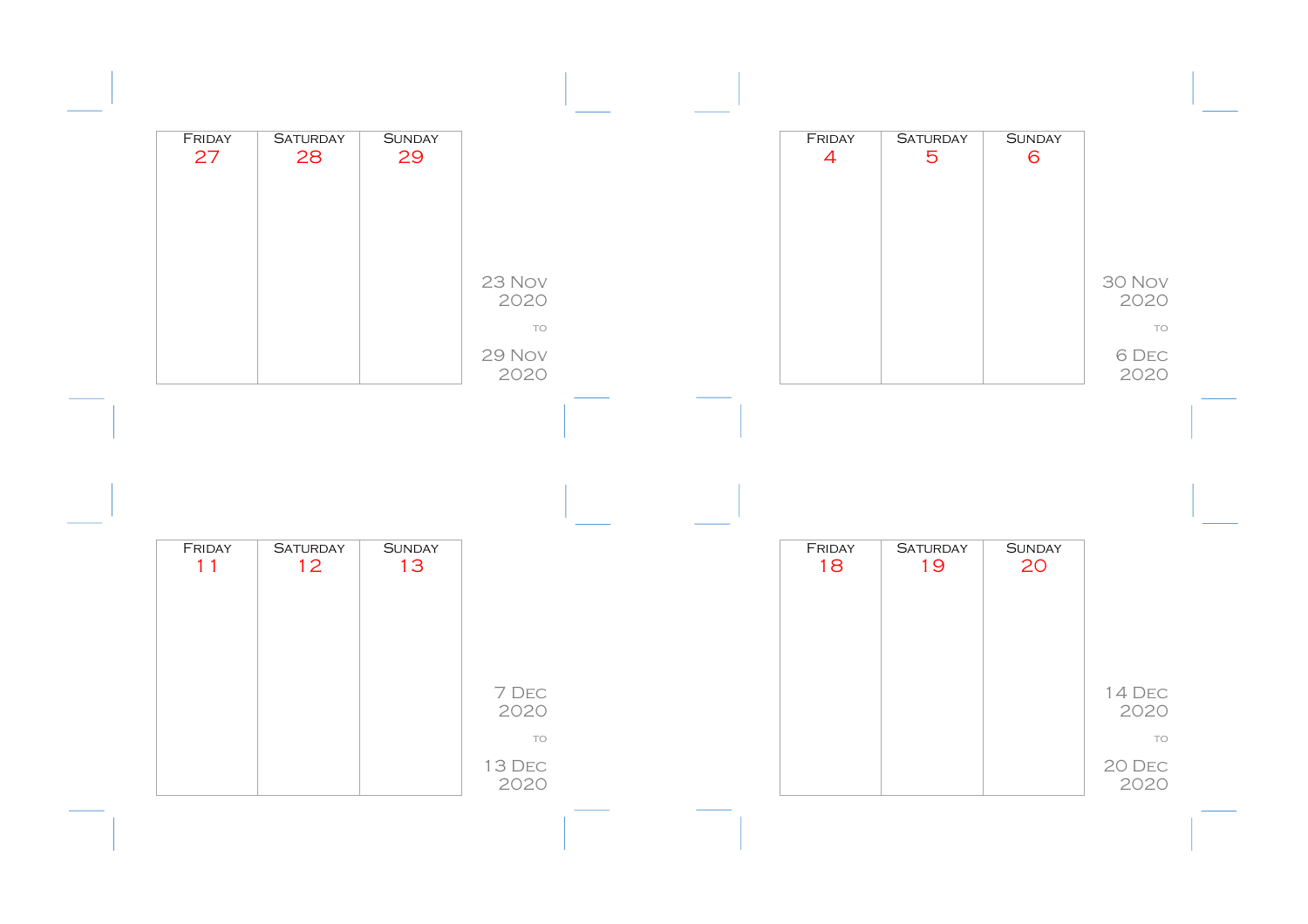| FRIDAY<br>27 | <b>SATURDAY</b><br>28 | <b>SUNDAY</b><br>29 |                      |  | FRIDAY<br>$\overline{4}$ | <b>SATURDAY</b><br>$\overline{5}$ | <b>SUNDAY</b><br>6  |                      |
|--------------|-----------------------|---------------------|----------------------|--|--------------------------|-----------------------------------|---------------------|----------------------|
|              |                       |                     | 23 Nov               |  |                          |                                   |                     | 30 Nov               |
|              |                       |                     | 2020<br>TO<br>29 Nov |  |                          |                                   |                     | 2020<br>TO<br>6 DEC  |
|              |                       |                     | 2020                 |  |                          |                                   |                     | 2020                 |
|              |                       |                     |                      |  |                          |                                   |                     |                      |
|              |                       |                     |                      |  |                          |                                   |                     |                      |
| FRIDAY<br>11 | <b>SATURDAY</b><br>12 | <b>SUNDAY</b><br>13 |                      |  | FRIDAY<br>18             | <b>SATURDAY</b><br>19             | <b>SUNDAY</b><br>20 |                      |
|              |                       |                     |                      |  |                          |                                   |                     |                      |
|              |                       |                     | 7 DEC<br>2020<br>TO  |  |                          |                                   |                     | 14 DEC<br>2020<br>TO |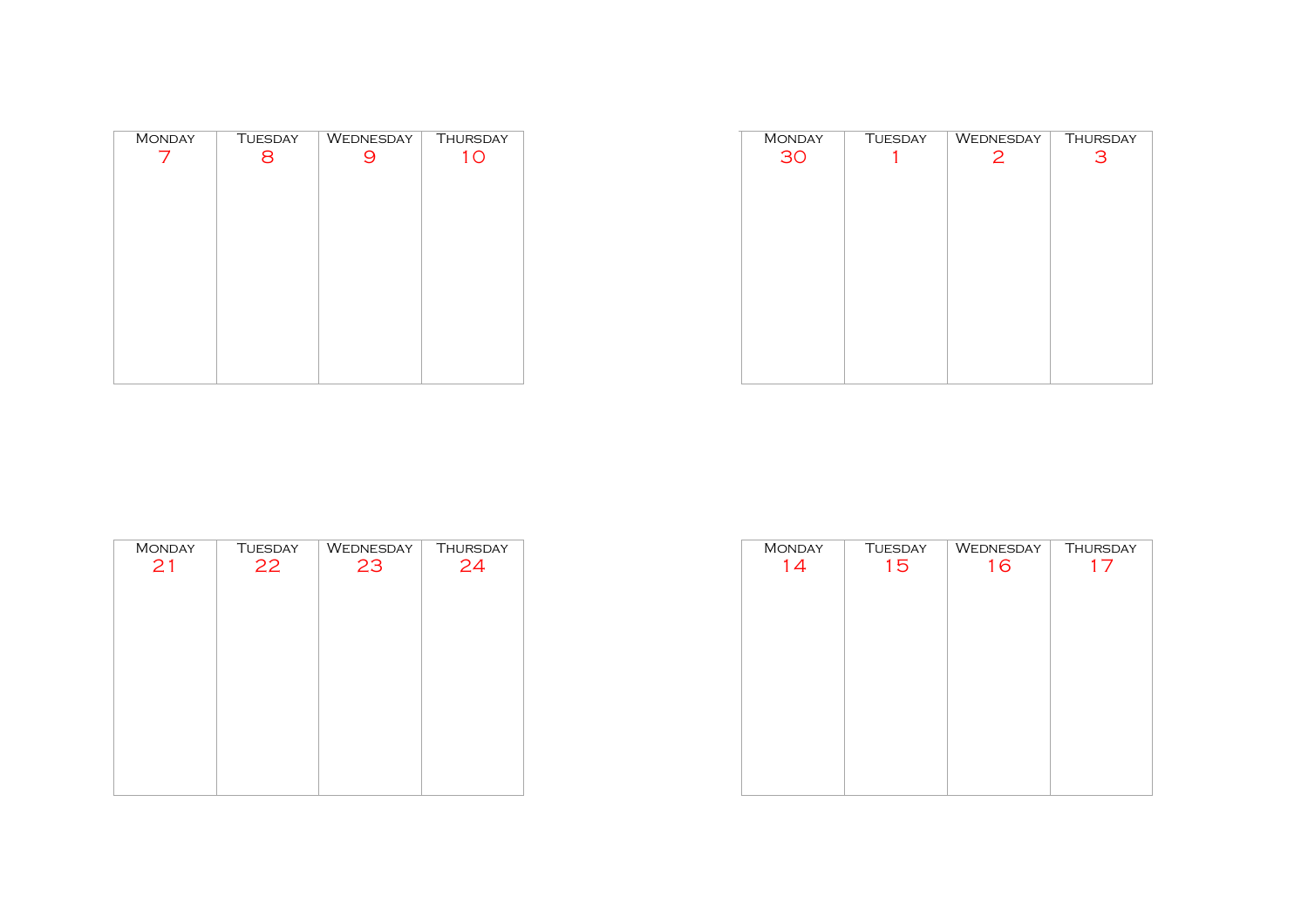| <b>MONDAY</b> | <b>TUESDAY</b> | WEDNESDAY | <b>THURSDAY</b> |
|---------------|----------------|-----------|-----------------|
|               | 8              |           | 10              |
|               |                |           |                 |
|               |                |           |                 |
|               |                |           |                 |
|               |                |           |                 |
|               |                |           |                 |
|               |                |           |                 |
|               |                |           |                 |
|               |                |           |                 |
|               |                |           |                 |
|               |                |           |                 |
|               |                |           |                 |
|               |                |           |                 |
|               |                |           |                 |

| <b>MONDAY</b> | <b>TUESDAY</b> | WEDNESDAY      | <b>THURSDAY</b> |
|---------------|----------------|----------------|-----------------|
| 30            |                | $\overline{2}$ | 3               |
|               |                |                |                 |
|               |                |                |                 |
|               |                |                |                 |
|               |                |                |                 |
|               |                |                |                 |
|               |                |                |                 |
|               |                |                |                 |
|               |                |                |                 |
|               |                |                |                 |
|               |                |                |                 |
|               |                |                |                 |
|               |                |                |                 |
|               |                |                |                 |

| <b>MONDAY</b> | <b>TUESDAY</b> | WEDNESDAY | <b>THURSDAY</b> |
|---------------|----------------|-----------|-----------------|
| 21            | 22             | 23        | 24              |
|               |                |           |                 |
|               |                |           |                 |
|               |                |           |                 |
|               |                |           |                 |
|               |                |           |                 |
|               |                |           |                 |
|               |                |           |                 |
|               |                |           |                 |
|               |                |           |                 |
|               |                |           |                 |

| <b>MONDAY</b> | <b>TUESDAY</b> | WEDNESDAY | <b>THURSDAY</b> |
|---------------|----------------|-----------|-----------------|
| 14            | 15             | 16        | 17              |
|               |                |           |                 |
|               |                |           |                 |
|               |                |           |                 |
|               |                |           |                 |
|               |                |           |                 |
|               |                |           |                 |
|               |                |           |                 |
|               |                |           |                 |
|               |                |           |                 |
|               |                |           |                 |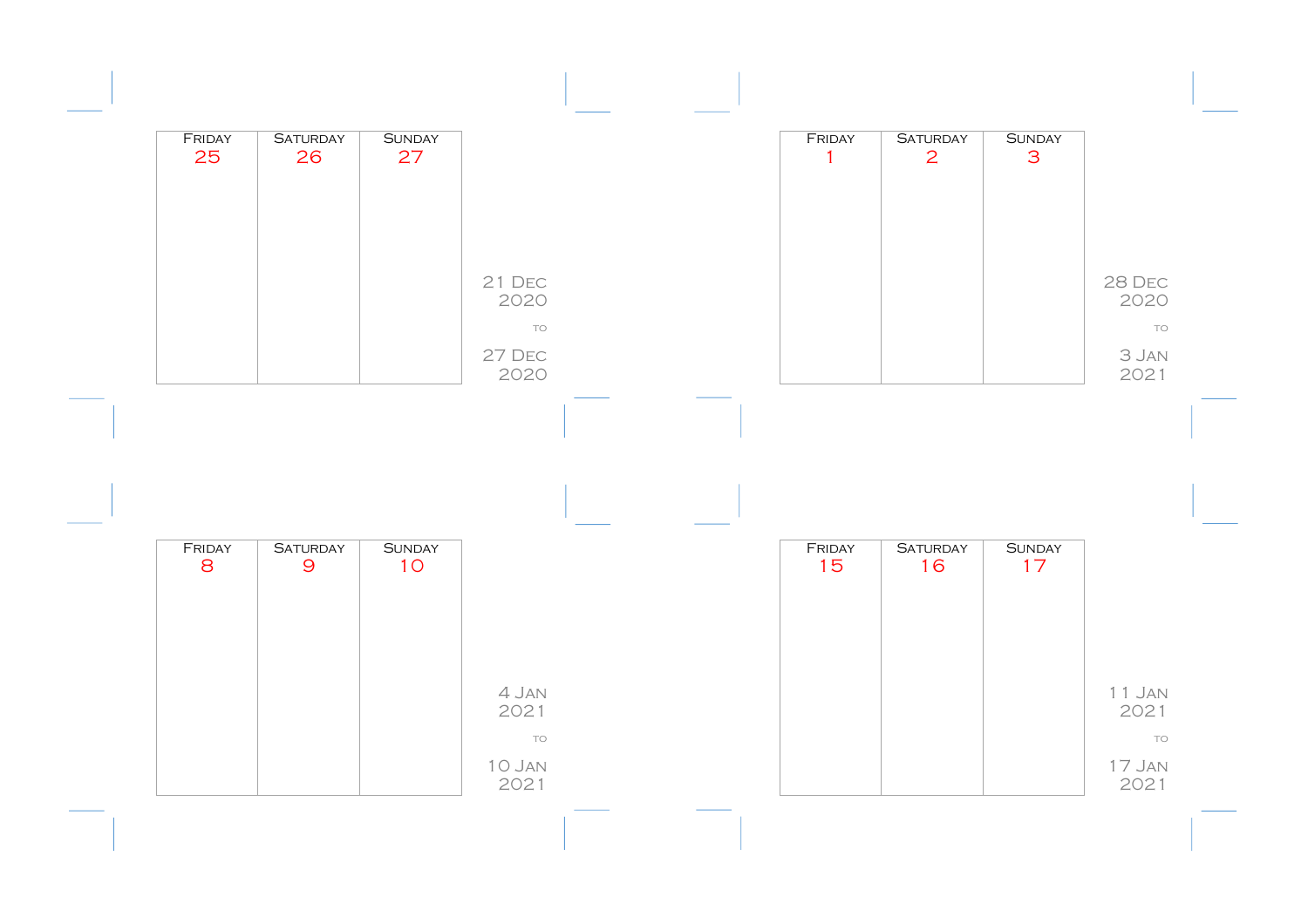|                      | <b>SUNDAY</b><br>3  | <b>SATURDAY</b><br>2  | FRIDAY<br>$\mathbf{1}$ |                     | <b>SUNDAY</b><br>27 | <b>SATURDAY</b><br>26             | FRIDAY<br>25 |
|----------------------|---------------------|-----------------------|------------------------|---------------------|---------------------|-----------------------------------|--------------|
|                      |                     |                       |                        |                     |                     |                                   |              |
| 28 DEC<br>2020       |                     |                       |                        | 21 DEC<br>2020      |                     |                                   |              |
| TO<br>3 JAN          |                     |                       |                        | TO<br>27 DEC        |                     |                                   |              |
|                      |                     |                       |                        |                     |                     |                                   |              |
| 2021                 |                     |                       |                        | 2020                |                     |                                   |              |
|                      |                     |                       |                        |                     |                     |                                   |              |
|                      |                     |                       |                        |                     |                     |                                   |              |
|                      | <b>SUNDAY</b><br>17 | <b>SATURDAY</b><br>16 | FRIDAY<br>15           |                     | <b>SUNDAY</b><br>10 | <b>SATURDAY</b><br>$\overline{9}$ | FRIDAY<br>8  |
|                      |                     |                       |                        |                     |                     |                                   |              |
|                      |                     |                       |                        |                     |                     |                                   |              |
| 11 JAN<br>2021<br>TO |                     |                       |                        | 4 Jan<br>2021<br>TO |                     |                                   |              |